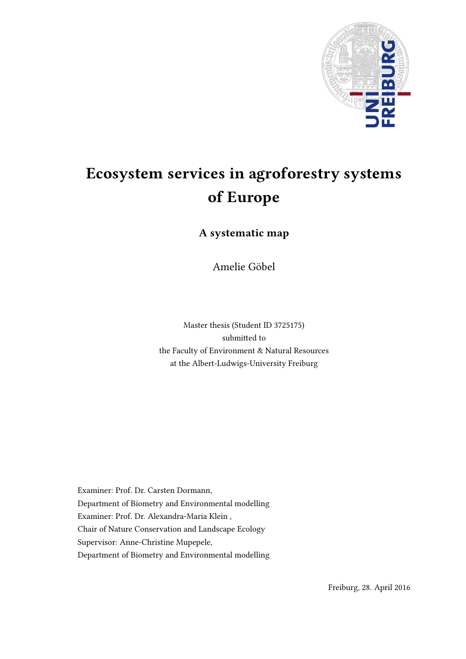

# Ecosystem services in agroforestry systems of Europe

A systematic map

Amelie Gobel ¨

Master thesis (Student ID 3725175) submitted to the Faculty of Environment & Natural Resources at the Albert-Ludwigs-University Freiburg

Examiner: Prof. Dr. Carsten Dormann, Department of Biometry and Environmental modelling Examiner: Prof. Dr. Alexandra-Maria Klein , Chair of Nature Conservation and Landscape Ecology Supervisor: Anne-Christine Mupepele, Department of Biometry and Environmental modelling

Freiburg, 28. April 2016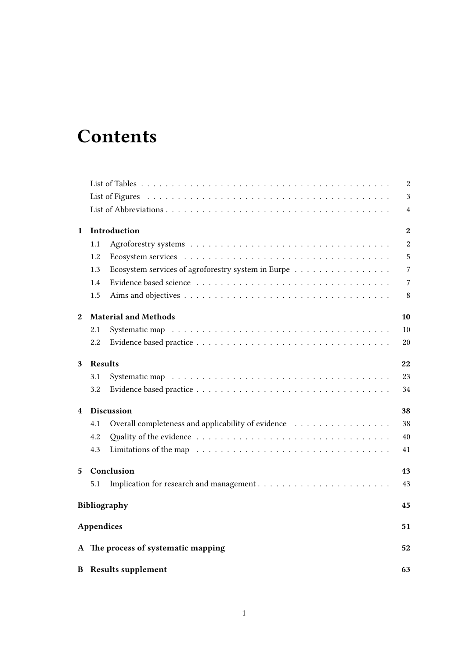# **Contents**

|                  |                   |                                                                                         | 2                |
|------------------|-------------------|-----------------------------------------------------------------------------------------|------------------|
|                  |                   |                                                                                         | 3                |
|                  |                   |                                                                                         | $\overline{4}$   |
| $\mathbf{1}$     |                   | Introduction                                                                            | $\boldsymbol{2}$ |
|                  | 1.1               |                                                                                         | $\overline{2}$   |
|                  | 1.2               |                                                                                         | $\overline{5}$   |
|                  | 1.3               | Ecosystem services of agroforestry system in Eurpe $\ldots \ldots \ldots \ldots \ldots$ | $\overline{7}$   |
|                  | 1.4               |                                                                                         | $\overline{7}$   |
|                  | 1.5               |                                                                                         | 8                |
| $\boldsymbol{2}$ |                   | <b>Material and Methods</b>                                                             | 10               |
|                  | 2.1               |                                                                                         | 10               |
|                  | 2.2               |                                                                                         | 20               |
| 3                | <b>Results</b>    |                                                                                         | 22               |
|                  | 3.1               |                                                                                         | 23               |
|                  | 3.2               |                                                                                         | 34               |
| 4                |                   | Discussion                                                                              | 38               |
|                  | 4.1               | Overall completeness and applicability of evidence                                      | 38               |
|                  | 4.2               |                                                                                         | 40               |
|                  | 4.3               |                                                                                         | 41               |
| 5                |                   | Conclusion                                                                              | 43               |
|                  | 5.1               |                                                                                         | 43               |
|                  |                   | <b>Bibliography</b>                                                                     | 45               |
|                  | <b>Appendices</b> |                                                                                         | 51               |
|                  |                   | A The process of systematic mapping                                                     | 52               |
|                  |                   | <b>B</b> Results supplement                                                             | 63               |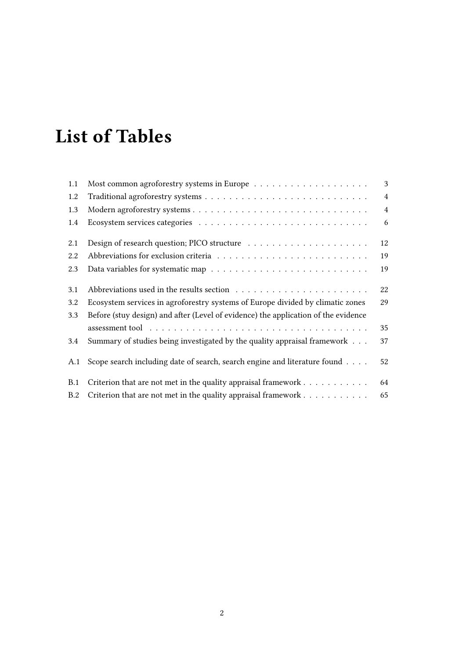# <span id="page-2-0"></span>List of Tables

| 1.1 |                                                                                    | 3              |
|-----|------------------------------------------------------------------------------------|----------------|
| 1.2 |                                                                                    | $\overline{4}$ |
| 1.3 |                                                                                    | $\overline{4}$ |
| 1.4 |                                                                                    | 6              |
| 2.1 |                                                                                    | 12             |
| 2.2 |                                                                                    | 19             |
| 2.3 |                                                                                    | 19             |
| 3.1 |                                                                                    | 22             |
| 3.2 | Ecosystem services in agroforestry systems of Europe divided by climatic zones     | 29             |
| 3.3 | Before (stuy design) and after (Level of evidence) the application of the evidence |                |
|     |                                                                                    | 35             |
| 3.4 | Summary of studies being investigated by the quality appraisal framework           | 37             |
| A.1 | Scope search including date of search, search engine and literature found          | 52             |
| B.1 | Criterion that are not met in the quality appraisal framework $\dots \dots \dots$  | 64             |
| B.2 | Criterion that are not met in the quality appraisal framework                      | 65             |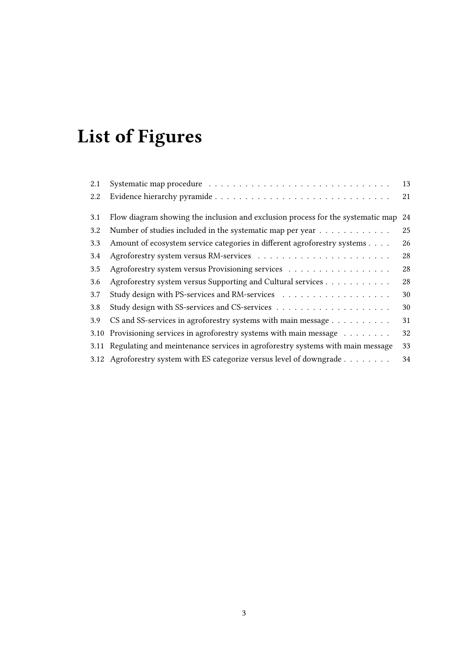# <span id="page-3-0"></span>List of Figures

| 2.1  |                                                                                    | 13 |
|------|------------------------------------------------------------------------------------|----|
| 2.2  |                                                                                    | 21 |
| 3.1  | Flow diagram showing the inclusion and exclusion process for the systematic map    | 24 |
| 3.2  | Number of studies included in the systematic map per year                          | 25 |
| 3.3  | Amount of ecosystem service categories in different agroforestry systems           | 26 |
| 3.4  |                                                                                    | 28 |
| 3.5  | Agroforestry system versus Provisioning services                                   | 28 |
| 3.6  | Agroforestry system versus Supporting and Cultural services                        | 28 |
| 3.7  |                                                                                    | 30 |
| 3.8  |                                                                                    | 30 |
| 3.9  | CS and SS-services in agroforestry systems with main message                       | 31 |
| 3.10 | Provisioning services in agroforestry systems with main message                    | 32 |
|      | 3.11 Regulating and meintenance services in agroforestry systems with main message | 33 |
|      | 3.12 Agroforestry system with ES categorize versus level of downgrade              | 34 |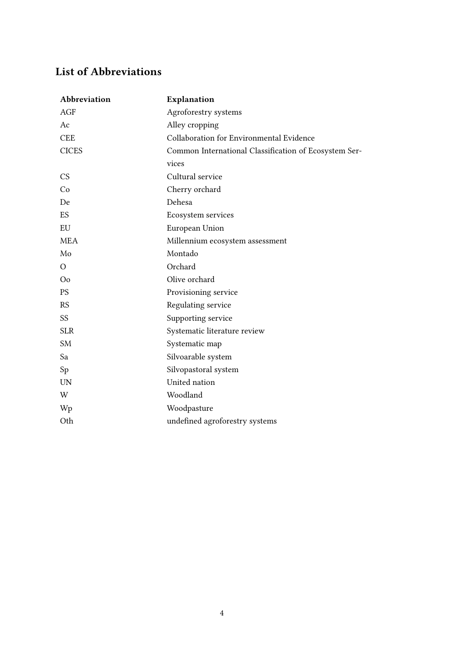### <span id="page-4-0"></span>List of Abbreviations

| Abbreviation   | Explanation                                           |
|----------------|-------------------------------------------------------|
| <b>AGF</b>     | Agroforestry systems                                  |
| Ac             | Alley cropping                                        |
| <b>CEE</b>     | Collaboration for Environmental Evidence              |
| <b>CICES</b>   | Common International Classification of Ecosystem Ser- |
|                | vices                                                 |
| <b>CS</b>      | Cultural service                                      |
| Co             | Cherry orchard                                        |
| De             | Dehesa                                                |
| ES             | Ecosystem services                                    |
| EU             | European Union                                        |
| <b>MEA</b>     | Millennium ecosystem assessment                       |
| Mo             | Montado                                               |
| $\Omega$       | Orchard                                               |
| O <sub>0</sub> | Olive orchard                                         |
| <b>PS</b>      | Provisioning service                                  |
| <b>RS</b>      | Regulating service                                    |
| SS             | Supporting service                                    |
| <b>SLR</b>     | Systematic literature review                          |
| <b>SM</b>      | Systematic map                                        |
| Sa             | Silvoarable system                                    |
| Sp             | Silvopastoral system                                  |
| <b>UN</b>      | United nation                                         |
| W              | Woodland                                              |
| Wp             | Woodpasture                                           |
| Oth            | undefined agroforestry systems                        |
|                |                                                       |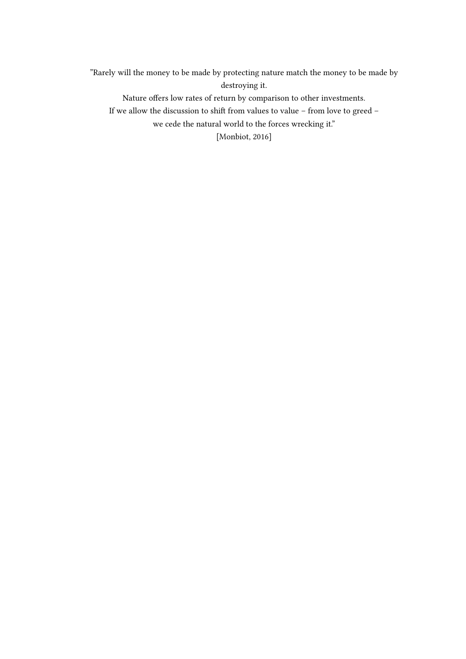"Rarely will the money to be made by protecting nature match the money to be made by destroying it.

Nature offers low rates of return by comparison to other investments.

If we allow the discussion to shift from values to value – from love to greed –

we cede the natural world to the forces wrecking it."

[\[Monbiot, 2016\]](#page-55-0)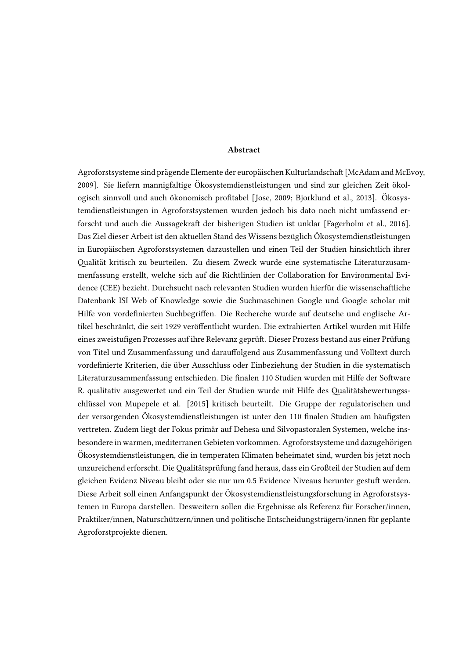#### Abstract

Agroforstsysteme sind prägende Elemente der europäischen Kulturlandschaft [McAdam and McEvoy, 2009]. Sie liefern mannigfaltige Ökosystemdienstleistungen und sind zur gleichen Zeit ökologisch sinnvoll und auch ökonomisch profitabel [Jose, 2009; Bjorklund et al., 2013]. Ökosystemdienstleistungen in Agroforstsystemen wurden jedoch bis dato noch nicht umfassend erforscht und auch die Aussagekraft der bisherigen Studien ist unklar [Fagerholm et al., 2016]. Das Ziel dieser Arbeit ist den aktuellen Stand des Wissens bezüglich Ökosystemdienstleistungen in Europaischen Agroforstsystemen darzustellen und einen Teil der Studien hinsichtlich ihrer ¨ alitat kritisch zu beurteilen. Zu diesem Zweck wurde eine systematische Literaturzusam- ¨ menfassung erstellt, welche sich auf die Richtlinien der Collaboration for Environmental Evidence (CEE) bezieht. Durchsucht nach relevanten Studien wurden hierfur die wissenschaliche ¨ Datenbank ISI Web of Knowledge sowie die Suchmaschinen Google und Google scholar mit Hilfe von vordefinierten Suchbegriffen. Die Recherche wurde auf deutsche und englische Artikel beschränkt, die seit 1929 veröffentlicht wurden. Die extrahierten Artikel wurden mit Hilfe eines zweistufigen Prozesses auf ihre Relevanz geprüft. Dieser Prozess bestand aus einer Prüfung von Titel und Zusammenfassung und darauffolgend aus Zusammenfassung und Volltext durch vordefinierte Kriterien, die über Ausschluss oder Einbeziehung der Studien in die systematisch Literaturzusammenfassung entschieden. Die finalen 110 Studien wurden mit Hilfe der Software R. qualitativ ausgewertet und ein Teil der Studien wurde mit Hilfe des Qualitätsbewertungsschlussel von Mupepele et al. [2015] kritisch beurteilt. Die Gruppe der regulatorischen und ¨ der versorgenden Ökosystemdienstleistungen ist unter den 110 finalen Studien am häufigsten vertreten. Zudem liegt der Fokus primär auf Dehesa und Silvopastoralen Systemen, welche insbesondere in warmen, mediterranen Gebieten vorkommen. Agroforstsysteme und dazugehörigen Okosystemdienstleistungen, die in temperaten Klimaten beheimatet sind, wurden bis jetzt noch ¨ unzureichend erforscht. Die Qualitätsprüfung fand heraus, dass ein Großteil der Studien auf dem gleichen Evidenz Niveau bleibt oder sie nur um 0.5 Evidence Niveaus herunter gestuft werden. Diese Arbeit soll einen Anfangspunkt der Okosystemdienstleistungsforschung in Agroforstsys- ¨ temen in Europa darstellen. Desweitern sollen die Ergebnisse als Referenz für Forscher/innen, Praktiker/innen, Naturschützern/innen und politische Entscheidungsträgern/innen für geplante Agroforstprojekte dienen.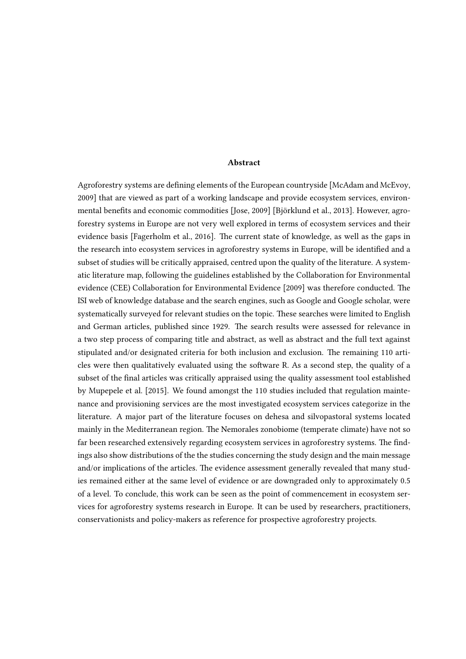#### Abstract

Agroforestry systems are defining elements of the European countryside [\[McAdam and McEvoy,](#page-55-1) [2009\]](#page-55-1) that are viewed as part of a working landscape and provide ecosystem services, environ-mental benefits and economic commodities [\[Jose, 2009\]](#page-54-0) [Björklund et al., 2013]. However, agroforestry systems in Europe are not very well explored in terms of ecosystem services and their evidence basis [\[Fagerholm et al., 2016\]](#page-53-0). The current state of knowledge, as well as the gaps in the research into ecosystem services in agroforestry systems in Europe, will be identified and a subset of studies will be critically appraised, centred upon the quality of the literature. A systematic literature map, following the guidelines established by the Collaboration for Environmental evidence (CEE) [Collaboration for Environmental Evidence](#page-53-1) [\[2009\]](#page-53-1) was therefore conducted. The ISI web of knowledge database and the search engines, such as Google and Google scholar, were systematically surveyed for relevant studies on the topic. These searches were limited to English and German articles, published since 1929. The search results were assessed for relevance in a two step process of comparing title and abstract, as well as abstract and the full text against stipulated and/or designated criteria for both inclusion and exclusion. The remaining 110 articles were then qualitatively evaluated using the software R. As a second step, the quality of a subset of the final articles was critically appraised using the quality assessment tool established by [Mupepele et al.](#page-55-2) [\[2015\]](#page-55-2). We found amongst the 110 studies included that regulation maintenance and provisioning services are the most investigated ecosystem services categorize in the literature. A major part of the literature focuses on dehesa and silvopastoral systems located mainly in the Mediterranean region. The Nemorales zonobiome (temperate climate) have not so far been researched extensively regarding ecosystem services in agroforestry systems. The findings also show distributions of the the studies concerning the study design and the main message and/or implications of the articles. The evidence assessment generally revealed that many studies remained either at the same level of evidence or are downgraded only to approximately 0.5 of a level. To conclude, this work can be seen as the point of commencement in ecosystem services for agroforestry systems research in Europe. It can be used by researchers, practitioners, conservationists and policy-makers as reference for prospective agroforestry projects.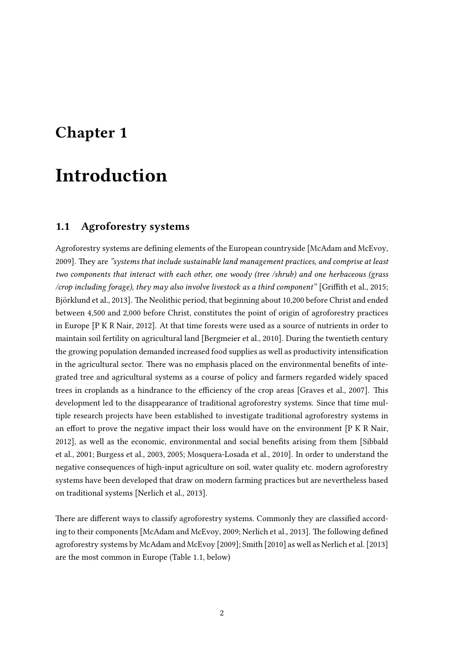### <span id="page-8-0"></span>Chapter 1

## Introduction

#### <span id="page-8-1"></span>1.1 Agroforestry systems

Agroforestry systems are defining elements of the European countryside [\[McAdam and McEvoy,](#page-55-1) [2009\]](#page-55-1). They are "systems that include sustainable land management practices, and comprise at least two components that interact with each other, one woody (tree /shrub) and one herbaceous (grass /crop including forage), they may also involve livestock as a third component" [Griffith et al., 2015; Björklund et al., 2013]. The Neolithic period, that beginning about 10,200 before Christ and ended between 4,500 and 2,000 before Christ, constitutes the point of origin of agroforestry practices in Europe [\[P K R Nair, 2012\]](#page-55-3). At that time forests were used as a source of nutrients in order to maintain soil fertility on agricultural land [\[Bergmeier et al., 2010\]](#page-52-2). During the twentieth century the growing population demanded increased food supplies as well as productivity intensification in the agricultural sector. There was no emphasis placed on the environmental benefits of integrated tree and agricultural systems as a course of policy and farmers regarded widely spaced trees in croplands as a hindrance to the efficiency of the crop areas [\[Graves et al., 2007\]](#page-54-2). This development led to the disappearance of traditional agroforestry systems. Since that time multiple research projects have been established to investigate traditional agroforestry systems in an effort to prove the negative impact their loss would have on the environment  $[PKR]$  Nair, [2012\]](#page-55-3), as well as the economic, environmental and social benets arising from them [\[Sibbald](#page-56-0) [et al., 2001;](#page-56-0) [Burgess et al., 2003,](#page-53-2) [2005;](#page-52-3) [Mosquera-Losada et al., 2010\]](#page-55-4). In order to understand the negative consequences of high-input agriculture on soil, water quality etc. modern agroforestry systems have been developed that draw on modern farming practices but are nevertheless based on traditional systems [\[Nerlich et al., 2013\]](#page-55-5).

There are different ways to classify agroforestry systems. Commonly they are classified accord-ing to their components [\[McAdam and McEvoy, 2009;](#page-55-1) [Nerlich et al., 2013\]](#page-55-5). The following defined agroforestry systems by [McAdam and McEvoy](#page-55-1) [\[2009\]](#page-55-1); [Smith](#page-56-1) [\[2010\]](#page-56-1) as well as [Nerlich et al.](#page-55-5) [\[2013\]](#page-55-5) are the most common in Europe (Table 1.1, below)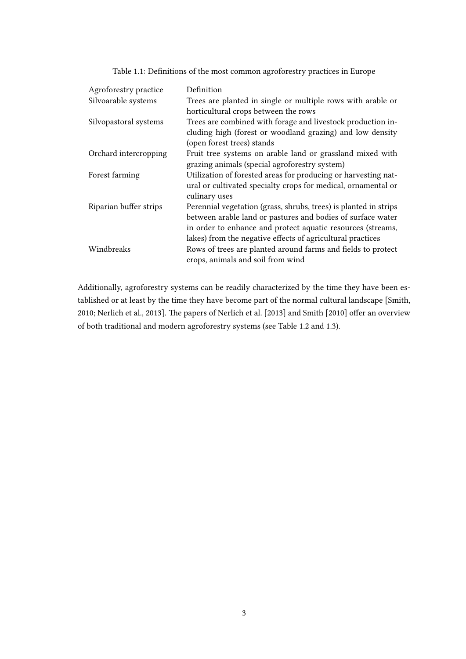<span id="page-9-0"></span>

| Agroforestry practice  | Definition                                                       |
|------------------------|------------------------------------------------------------------|
| Silvoarable systems    | Trees are planted in single or multiple rows with arable or      |
|                        | horticultural crops between the rows                             |
| Silvopastoral systems  | Trees are combined with forage and livestock production in-      |
|                        | cluding high (forest or woodland grazing) and low density        |
|                        | (open forest trees) stands                                       |
| Orchard intercropping  | Fruit tree systems on arable land or grassland mixed with        |
|                        | grazing animals (special agroforestry system)                    |
| Forest farming         | Utilization of forested areas for producing or harvesting nat-   |
|                        | ural or cultivated specialty crops for medical, ornamental or    |
|                        | culinary uses                                                    |
| Riparian buffer strips | Perennial vegetation (grass, shrubs, trees) is planted in strips |
|                        | between arable land or pastures and bodies of surface water      |
|                        | in order to enhance and protect aquatic resources (streams,      |
|                        | lakes) from the negative effects of agricultural practices       |
| Windbreaks             | Rows of trees are planted around farms and fields to protect     |
|                        | crops, animals and soil from wind                                |

Table 1.1: Definitions of the most common agroforestry practices in Europe

Additionally, agroforestry systems can be readily characterized by the time they have been established or at least by the time they have become part of the normal cultural landscape [\[Smith,](#page-56-1) [2010;](#page-56-1) [Nerlich et al., 2013\]](#page-55-5). The papers of [Nerlich et al.](#page-55-5) [\[2013\]](#page-55-5) and [Smith](#page-56-1) [\[2010\]](#page-56-1) offer an overview of both traditional and modern agroforestry systems (see Table 1.2 and 1.3).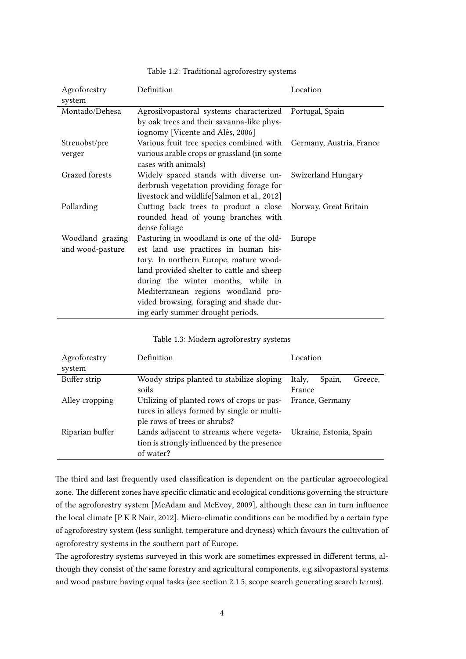<span id="page-10-0"></span>

| Agroforestry<br>system               | Definition                                                                                                                                                                                                                                                                                                                           | Location                 |
|--------------------------------------|--------------------------------------------------------------------------------------------------------------------------------------------------------------------------------------------------------------------------------------------------------------------------------------------------------------------------------------|--------------------------|
| Montado/Dehesa                       | Agrosilvopastoral systems characterized<br>by oak trees and their savanna-like phys-<br>iognomy [Vicente and Alés, 2006]                                                                                                                                                                                                             | Portugal, Spain          |
| Streuobst/pre<br>verger              | Various fruit tree species combined with<br>various arable crops or grassland (in some<br>cases with animals)                                                                                                                                                                                                                        | Germany, Austria, France |
| Grazed forests                       | Widely spaced stands with diverse un-<br>derbrush vegetation providing forage for<br>livestock and wildlife[Salmon et al., 2012]                                                                                                                                                                                                     | Swizerland Hungary       |
| Pollarding                           | Cutting back trees to product a close<br>rounded head of young branches with<br>dense foliage                                                                                                                                                                                                                                        | Norway, Great Britain    |
| Woodland grazing<br>and wood-pasture | Pasturing in woodland is one of the old-<br>est land use practices in human his-<br>tory. In northern Europe, mature wood-<br>land provided shelter to cattle and sheep<br>during the winter months, while in<br>Mediterranean regions woodland pro-<br>vided browsing, foraging and shade dur-<br>ing early summer drought periods. | Europe                   |

#### Table 1.2: Traditional agroforestry systems

<span id="page-10-1"></span>

| Agroforestry    | Definition                                  | Location                    |  |
|-----------------|---------------------------------------------|-----------------------------|--|
| system          |                                             |                             |  |
| Buffer strip    | Woody strips planted to stabilize sloping   | Italy,<br>Spain,<br>Greece, |  |
|                 | soils                                       | France                      |  |
| Alley cropping  | Utilizing of planted rows of crops or pas-  | France, Germany             |  |
|                 | tures in alleys formed by single or multi-  |                             |  |
|                 | ple rows of trees or shrubs?                |                             |  |
| Riparian buffer | Lands adjacent to streams where vegeta-     | Ukraine, Estonia, Spain     |  |
|                 | tion is strongly influenced by the presence |                             |  |
|                 | of water?                                   |                             |  |

The third and last frequently used classification is dependent on the particular agroecological zone. The different zones have specific climatic and ecological conditions governing the structure of the agroforestry system [\[McAdam and McEvoy, 2009\]](#page-55-1), although these can in turn influence the local climate [\[P K R Nair, 2012\]](#page-55-3). Micro-climatic conditions can be modified by a certain type of agroforestry system (less sunlight, temperature and dryness) which favours the cultivation of agroforestry systems in the southern part of Europe.

The agroforestry systems surveyed in this work are sometimes expressed in different terms, although they consist of the same forestry and agricultural components, e.g silvopastoral systems and wood pasture having equal tasks (see section 2.1.5, scope search generating search terms).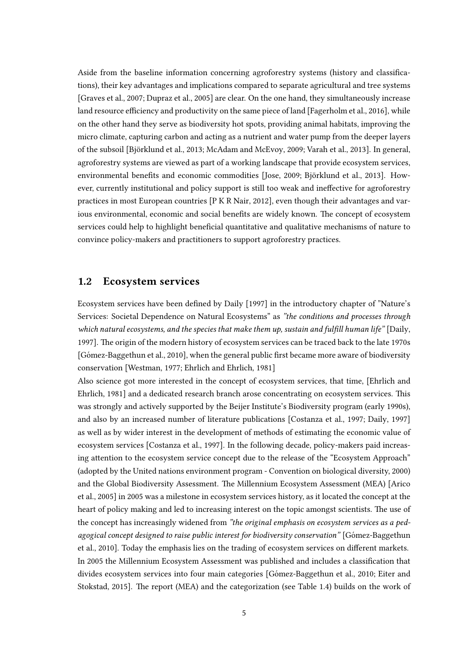Aside from the baseline information concerning agroforestry systems (history and classifications), their key advantages and implications compared to separate agricultural and tree systems [\[Graves et al., 2007;](#page-54-2) [Dupraz et al., 2005\]](#page-53-3) are clear. On the one hand, they simultaneously increase land resource efficiency and productivity on the same piece of land [\[Fagerholm et al., 2016\]](#page-53-0), while on the other hand they serve as biodiversity hot spots, providing animal habitats, improving the micro climate, capturing carbon and acting as a nutrient and water pump from the deeper layers of the subsoil [\[Bjorklund et al., 2013;](#page-52-1) [McAdam and McEvoy, 2009;](#page-55-1) [Varah et al., 2013\]](#page-57-1). In general, ¨ agroforestry systems are viewed as part of a working landscape that provide ecosystem services, environmental benefits and economic commodities [\[Jose, 2009;](#page-54-0) Björklund et al., 2013]. However, currently institutional and policy support is still too weak and ineffective for agroforestry practices in most European countries [\[P K R Nair, 2012\]](#page-55-3), even though their advantages and various environmental, economic and social benefits are widely known. The concept of ecosystem services could help to highlight beneficial quantitative and qualitative mechanisms of nature to convince policy-makers and practitioners to support agroforestry practices.

#### <span id="page-11-0"></span>1.2 Ecosystem services

Ecosystem services have been defined by [Daily](#page-53-4) [\[1997\]](#page-53-4) in the introductory chapter of "Nature's Services: Societal Dependence on Natural Ecosystems" as "the conditions and processes through which natural ecosystems, and the species that make them up, sustain and fulfill human life" [\[Daily,](#page-53-4) [1997\]](#page-53-4). The origin of the modern history of ecosystem services can be traced back to the late 1970s [Gómez-Baggethun et al., 2010], when the general public first became more aware of biodiversity conservation [\[Westman, 1977;](#page-57-2) [Ehrlich and Ehrlich, 1981\]](#page-53-5)

Also science got more interested in the concept of ecosystem services, that time, [\[Ehrlich and](#page-53-5) [Ehrlich, 1981\]](#page-53-5) and a dedicated research branch arose concentrating on ecosystem services. This was strongly and actively supported by the Beijer Institute's Biodiversity program (early 1990s), and also by an increased number of literature publications [\[Costanza et al., 1997;](#page-53-6) [Daily, 1997\]](#page-53-4) as well as by wider interest in the development of methods of estimating the economic value of ecosystem services [\[Costanza et al., 1997\]](#page-53-6). In the following decade, policy-makers paid increasing attention to the ecosystem service concept due to the release of the "Ecosystem Approach" (adopted by the United nations environment program - Convention on biological diversity, 2000) and the Global Biodiversity Assessment. The Millennium Ecosystem Assessment (MEA) [\[Arico](#page-52-4) [et al., 2005\]](#page-52-4) in 2005 was a milestone in ecosystem services history, as it located the concept at the heart of policy making and led to increasing interest on the topic amongst scientists. The use of the concept has increasingly widened from "the original emphasis on ecosystem services as a pedagogical concept designed to raise public interest for biodiversity conservation" [Gómez-Baggethun [et al., 2010\]](#page-54-3). Today the emphasis lies on the trading of ecosystem services on different markets. In 2005 the Millennium Ecosystem Assessment was published and includes a classication that divides ecosystem services into four main categories [Gómez-Baggethun et al., 2010; [Eiter and](#page-53-7) [Stokstad, 2015\]](#page-53-7). The report (MEA) and the categorization (see Table 1.4) builds on the work of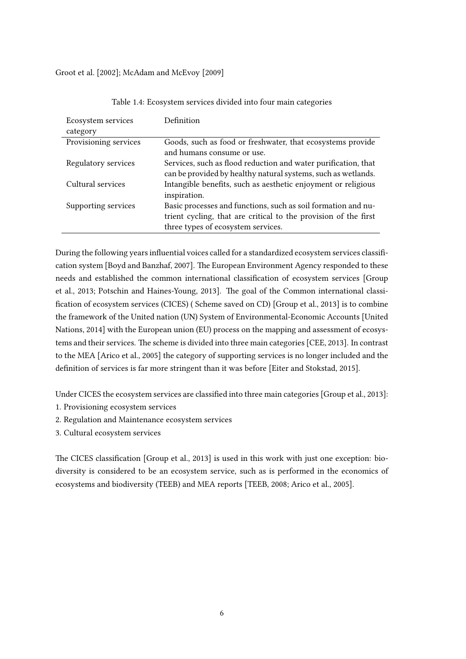[Groot et al.](#page-54-4) [\[2002\]](#page-54-4); [McAdam and McEvoy](#page-55-1) [\[2009\]](#page-55-1)

<span id="page-12-0"></span>

| Ecosystem services    | Definition                                                                                                                                                             |  |
|-----------------------|------------------------------------------------------------------------------------------------------------------------------------------------------------------------|--|
| category              |                                                                                                                                                                        |  |
| Provisioning services | Goods, such as food or freshwater, that ecosystems provide<br>and humans consume or use.                                                                               |  |
| Regulatory services   | Services, such as flood reduction and water purification, that<br>can be provided by healthy natural systems, such as wetlands.                                        |  |
| Cultural services     | Intangible benefits, such as aesthetic enjoyment or religious<br>inspiration.                                                                                          |  |
| Supporting services   | Basic processes and functions, such as soil formation and nu-<br>trient cycling, that are critical to the provision of the first<br>three types of ecosystem services. |  |

Table 1.4: Ecosystem services divided into four main categories

During the following years influential voices called for a standardized ecosystem services classifi-cation system [\[Boyd and Banzhaf, 2007\]](#page-52-5). The European Environment Agency responded to these needs and established the common international classification of ecosystem services [\[Group](#page-54-5) [et al., 2013;](#page-54-5) [Potschin and Haines-Young, 2013\]](#page-55-6). The goal of the Common international classi-fication of ecosystem services (CICES) (Scheme saved on CD) [\[Group et al., 2013\]](#page-54-5) is to combine the framework of the United nation (UN) System of Environmental-Economic Accounts [\[United](#page-57-3) [Nations, 2014\]](#page-57-3) with the European union (EU) process on the mapping and assessment of ecosys-tems and their services. The scheme is divided into three main categories [\[CEE, 2013\]](#page-53-8). In contrast to the MEA [\[Arico et al., 2005\]](#page-52-4) the category of supporting services is no longer included and the definition of services is far more stringent than it was before [\[Eiter and Stokstad, 2015\]](#page-53-7).

Under CICES the ecosystem services are classified into three main categories [\[Group et al., 2013\]](#page-54-5):

- 1. Provisioning ecosystem services
- 2. Regulation and Maintenance ecosystem services
- 3. Cultural ecosystem services

The CICES classification [\[Group et al., 2013\]](#page-54-5) is used in this work with just one exception: biodiversity is considered to be an ecosystem service, such as is performed in the economics of ecosystems and biodiversity (TEEB) and MEA reports [\[TEEB, 2008;](#page-56-3) [Arico et al., 2005\]](#page-52-4).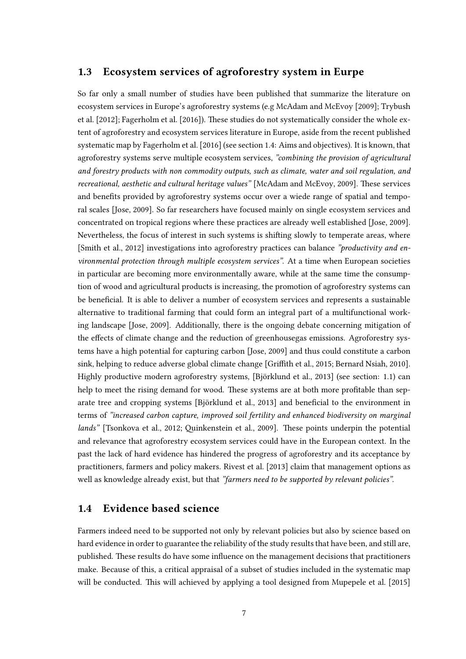#### <span id="page-13-0"></span>1.3 Ecosystem services of agroforestry system in Eurpe

So far only a small number of studies have been published that summarize the literature on ecosystem services in Europe's agroforestry systems (e.g [McAdam and McEvoy](#page-55-1) [\[2009\]](#page-55-1); [Trybush](#page-56-4) [et al.](#page-56-4) [\[2012\]](#page-56-4); [Fagerholm et al.](#page-53-0) [\[2016\]](#page-53-0)). These studies do not systematically consider the whole extent of agroforestry and ecosystem services literature in Europe, aside from the recent published systematic map by [Fagerholm et al.](#page-53-0) [\[2016\]](#page-53-0) (see section 1.4: Aims and objectives). It is known, that agroforestry systems serve multiple ecosystem services, "combining the provision of agricultural and forestry products with non commodity outputs, such as climate, water and soil regulation, and recreational, aesthetic and cultural heritage values" [\[McAdam and McEvoy, 2009\]](#page-55-1). These services and benefits provided by agroforestry systems occur over a wiede range of spatial and temporal scales [\[Jose, 2009\]](#page-54-0). So far researchers have focused mainly on single ecosystem services and concentrated on tropical regions where these practices are already well established [\[Jose, 2009\]](#page-54-0). Nevertheless, the focus of interest in such systems is shifting slowly to temperate areas, where [\[Smith et al., 2012\]](#page-56-5) investigations into agroforestry practices can balance "productivity and environmental protection through multiple ecosystem services". At a time when European societies in particular are becoming more environmentally aware, while at the same time the consumption of wood and agricultural products is increasing, the promotion of agroforestry systems can be beneficial. It is able to deliver a number of ecosystem services and represents a sustainable alternative to traditional farming that could form an integral part of a multifunctional working landscape [\[Jose, 2009\]](#page-54-0). Additionally, there is the ongoing debate concerning mitigation of the effects of climate change and the reduction of greenhousegas emissions. Agroforestry systems have a high potential for capturing carbon [\[Jose, 2009\]](#page-54-0) and thus could constitute a carbon sink, helping to reduce adverse global climate change [Griffith et al., 2015; [Bernard Nsiah, 2010\]](#page-52-6). Highly productive modern agroforestry systems, [Björklund et al., 2013] (see section: 1.1) can help to meet the rising demand for wood. These systems are at both more profitable than separate tree and cropping systems [Björklund et al., 2013] and beneficial to the environment in terms of "increased carbon capture, improved soil fertility and enhanced biodiversity on marginal lands" [\[Tsonkova et al., 2012;](#page-56-6) Quinkenstein et al., 2009]. These points underpin the potential and relevance that agroforestry ecosystem services could have in the European context. In the past the lack of hard evidence has hindered the progress of agroforestry and its acceptance by practitioners, farmers and policy makers. [Rivest et al.](#page-56-7) [\[2013\]](#page-56-7) claim that management options as well as knowledge already exist, but that "farmers need to be supported by relevant policies".

#### <span id="page-13-1"></span>1.4 Evidence based science

Farmers indeed need to be supported not only by relevant policies but also by science based on hard evidence in order to guarantee the reliability of the study results that have been, and still are, published. These results do have some influence on the management decisions that practitioners make. Because of this, a critical appraisal of a subset of studies included in the systematic map will be conducted. This will achieved by applying a tool designed from [Mupepele et al.](#page-55-2) [\[2015\]](#page-55-2)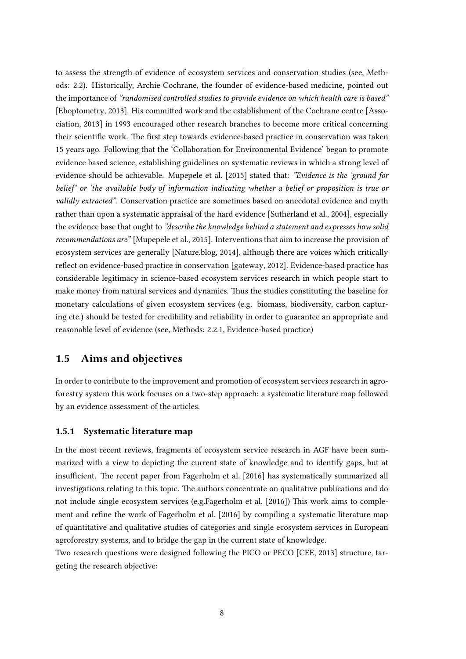to assess the strength of evidence of ecosystem services and conservation studies (see, Methods: 2.2). Historically, Archie Cochrane, the founder of evidence-based medicine, pointed out the importance of "randomised controlled studies to provide evidence on which health care is based" [\[Eboptometry, 2013\]](#page-53-9). His committed work and the establishment of the Cochrane centre [\[Asso](#page-52-7)[ciation, 2013\]](#page-52-7) in 1993 encouraged other research branches to become more critical concerning their scientific work. The first step towards evidence-based practice in conservation was taken 15 years ago. Following that the 'Collaboration for Environmental Evidence' began to promote evidence based science, establishing guidelines on systematic reviews in which a strong level of evidence should be achievable. [Mupepele et al.](#page-55-2) [\[2015\]](#page-55-2) stated that: "Evidence is the 'ground for belief' or 'the available body of information indicating whether a belief or proposition is true or validly extracted". Conservation practice are sometimes based on anecdotal evidence and myth rather than upon a systematic appraisal of the hard evidence [\[Sutherland et al., 2004\]](#page-56-8), especially the evidence base that ought to "describe the knowledge behind a statement and expresses how solid recommendations are" [\[Mupepele et al., 2015\]](#page-55-2). Interventions that aim to increase the provision of ecosystem services are generally [\[Nature.blog, 2014\]](#page-55-8), although there are voices which critically reflect on evidence-based practice in conservation [\[gateway, 2012\]](#page-54-6). Evidence-based practice has considerable legitimacy in science-based ecosystem services research in which people start to make money from natural services and dynamics. Thus the studies constituting the baseline for monetary calculations of given ecosystem services (e.g. biomass, biodiversity, carbon capturing etc.) should be tested for credibility and reliability in order to guarantee an appropriate and reasonable level of evidence (see, Methods: 2.2.1, Evidence-based practice)

#### <span id="page-14-0"></span>1.5 Aims and objectives

In order to contribute to the improvement and promotion of ecosystem services research in agroforestry system this work focuses on a two-step approach: a systematic literature map followed by an evidence assessment of the articles.

#### 1.5.1 Systematic literature map

In the most recent reviews, fragments of ecosystem service research in AGF have been summarized with a view to depicting the current state of knowledge and to identify gaps, but at insufficient. The recent paper from [Fagerholm et al.](#page-53-0) [\[2016\]](#page-53-0) has systematically summarized all investigations relating to this topic. The authors concentrate on qualitative publications and do not include single ecosystem services (e.g[.Fagerholm et al.](#page-53-0) [\[2016\]](#page-53-0)) This work aims to comple-ment and refine the work of [Fagerholm et al.](#page-53-0) [\[2016\]](#page-53-0) by compiling a systematic literature map of quantitative and qualitative studies of categories and single ecosystem services in European agroforestry systems, and to bridge the gap in the current state of knowledge.

Two research questions were designed following the PICO or PECO [\[CEE, 2013\]](#page-53-8) structure, targeting the research objective: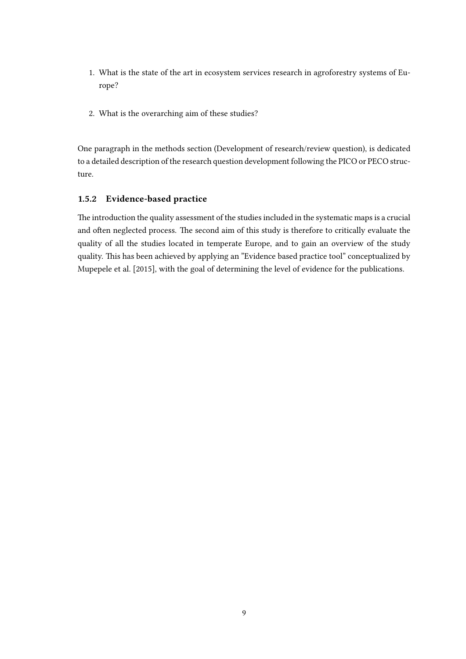- 1. What is the state of the art in ecosystem services research in agroforestry systems of Europe?
- 2. What is the overarching aim of these studies?

One paragraph in the methods section (Development of research/review question), is dedicated to a detailed description of the research question development following the PICO or PECO structure.

#### 1.5.2 Evidence-based practice

The introduction the quality assessment of the studies included in the systematic maps is a crucial and often neglected process. The second aim of this study is therefore to critically evaluate the quality of all the studies located in temperate Europe, and to gain an overview of the study quality. This has been achieved by applying an "Evidence based practice tool" conceptualized by [Mupepele et al.](#page-55-2) [\[2015\]](#page-55-2), with the goal of determining the level of evidence for the publications.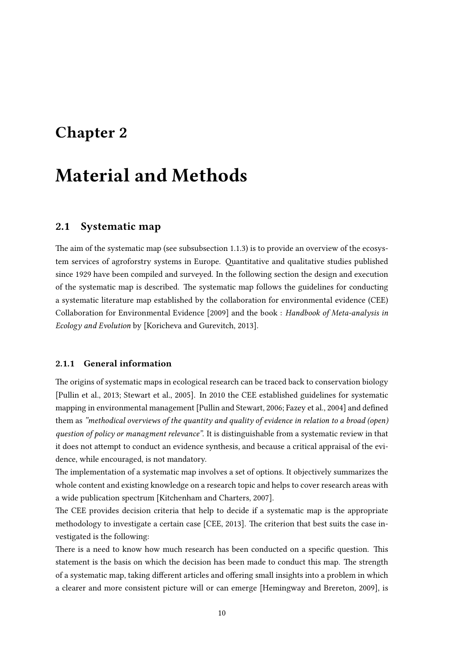### <span id="page-16-0"></span>Chapter 2

## Material and Methods

#### <span id="page-16-1"></span>2.1 Systematic map

The aim of the systematic map (see subsubsection 1.1.3) is to provide an overview of the ecosystem services of agroforstry systems in Europe. Quantitative and qualitative studies published since 1929 have been compiled and surveyed. In the following section the design and execution of the systematic map is described. The systematic map follows the guidelines for conducting a systematic literature map established by the collaboration for environmental evidence (CEE) [Collaboration for Environmental Evidence](#page-53-1) [\[2009\]](#page-53-1) and the book : Handbook of Meta-analysis in Ecology and Evolution by [\[Koricheva and Gurevitch, 2013\]](#page-54-7).

#### 2.1.1 General information

The origins of systematic maps in ecological research can be traced back to conservation biology [\[Pullin et al., 2013;](#page-55-9) [Stewart et al., 2005\]](#page-56-9). In 2010 the CEE established guidelines for systematic mapping in environmental management [\[Pullin and Stewart, 2006;](#page-55-10) [Fazey et al., 2004\]](#page-53-10) and defined them as "methodical overviews of the quantity and quality of evidence in relation to a broad (open) question of policy or managment relevance". It is distinguishable from a systematic review in that it does not attempt to conduct an evidence synthesis, and because a critical appraisal of the evidence, while encouraged, is not mandatory.

The implementation of a systematic map involves a set of options. It objectively summarizes the whole content and existing knowledge on a research topic and helps to cover research areas with a wide publication spectrum [\[Kitchenham and Charters, 2007\]](#page-54-8).

The CEE provides decision criteria that help to decide if a systematic map is the appropriate methodology to investigate a certain case [\[CEE, 2013\]](#page-53-8). The criterion that best suits the case investigated is the following:

There is a need to know how much research has been conducted on a specific question. This statement is the basis on which the decision has been made to conduct this map. The strength of a systematic map, taking different articles and offering small insights into a problem in which a clearer and more consistent picture will or can emerge [\[Hemingway and Brereton, 2009\]](#page-54-9), is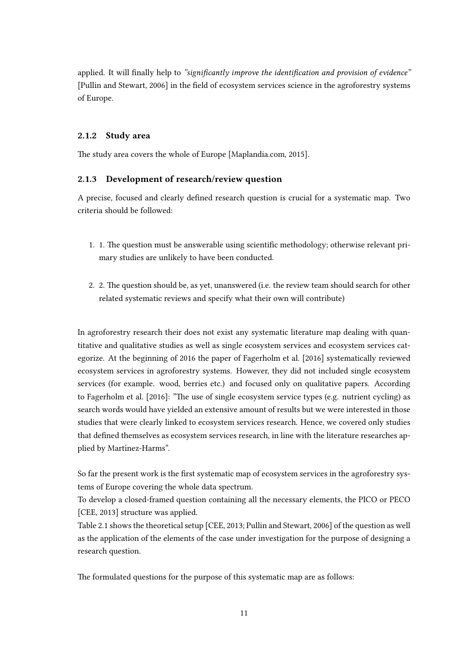applied. It will finally help to "significantly improve the identification and provision of evidence" [\[Pullin and Stewart, 2006\]](#page-55-10) in the field of ecosystem services science in the agroforestry systems of Europe.

#### 2.1.2 Study area

The study area covers the whole of Europe [\[Maplandia.com, 2015\]](#page-54-10).

#### 2.1.3 Development of research/review question

A precise, focused and clearly defined research question is crucial for a systematic map. Two criteria should be followed:

- 1. 1. The question must be answerable using scientific methodology; otherwise relevant primary studies are unlikely to have been conducted.
- 2. 2. The question should be, as yet, unanswered (i.e. the review team should search for other related systematic reviews and specify what their own will contribute)

In agroforestry research their does not exist any systematic literature map dealing with quantitative and qualitative studies as well as single ecosystem services and ecosystem services categorize. At the beginning of 2016 the paper of [Fagerholm et al.](#page-53-0) [\[2016\]](#page-53-0) systematically reviewed ecosystem services in agroforestry systems. However, they did not included single ecosystem services (for example. wood, berries etc.) and focused only on qualitative papers. According to [Fagerholm et al.](#page-53-0) [\[2016\]](#page-53-0): "The use of single ecosystem service types (e.g. nutrient cycling) as search words would have yielded an extensive amount of results but we were interested in those studies that were clearly linked to ecosystem services research. Hence, we covered only studies that defined themselves as ecosystem services research, in line with the literature researches applied by Martínez-Harms".

So far the present work is the first systematic map of ecosystem services in the agroforestry systems of Europe covering the whole data spectrum.

To develop a closed-framed question containing all the necessary elements, the PICO or PECO [\[CEE, 2013\]](#page-53-8) structure was applied.

Table 2.1 shows the theoretical setup [\[CEE, 2013;](#page-53-8) [Pullin and Stewart, 2006\]](#page-55-10) of the question as well as the application of the elements of the case under investigation for the purpose of designing a research question.

The formulated questions for the purpose of this systematic map are as follows: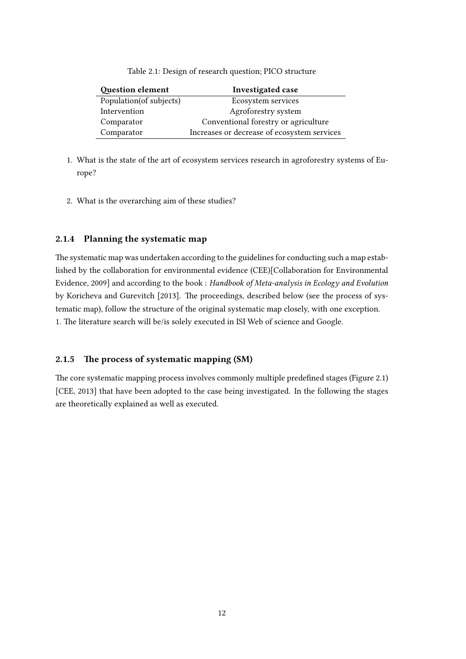Table 2.1: Design of research question; PICO structure

<span id="page-18-0"></span>

| <b>Question element</b> | <b>Investigated case</b>                    |  |
|-------------------------|---------------------------------------------|--|
| Population(of subjects) | Ecosystem services                          |  |
| Intervention            | Agroforestry system                         |  |
| Comparator              | Conventional forestry or agriculture        |  |
| Comparator              | Increases or decrease of ecosystem services |  |

- 1. What is the state of the art of ecosystem services research in agroforestry systems of Europe?
- 2. What is the overarching aim of these studies?

#### 2.1.4 Planning the systematic map

The systematic map was undertaken according to the guidelines for conducting such a map established by the collaboration for environmental evidence (CEE)[\[Collaboration for Environmental](#page-53-1) [Evidence, 2009\]](#page-53-1) and according to the book : Handbook of Meta-analysis in Ecology and Evolution by [Koricheva and Gurevitch](#page-54-7) [\[2013\]](#page-54-7). The proceedings, described below (see the process of systematic map), follow the structure of the original systematic map closely, with one exception. 1. The literature search will be/is solely executed in ISI Web of science and Google.

#### 2.1.5 The process of systematic mapping (SM)

The core systematic mapping process involves commonly multiple predefined stages (Figure 2.1) [\[CEE, 2013\]](#page-53-8) that have been adopted to the case being investigated. In the following the stages are theoretically explained as well as executed.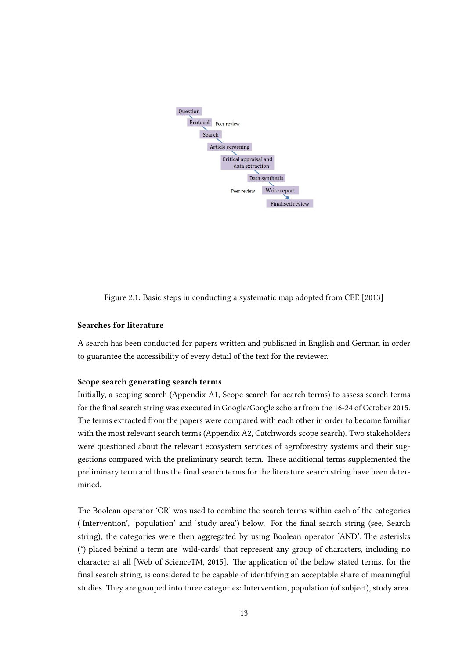<span id="page-19-0"></span>

Figure 2.1: Basic steps in conducting a systematic map adopted from [CEE](#page-53-8) [\[2013\]](#page-53-8)

#### Searches for literature

A search has been conducted for papers written and published in English and German in order to guarantee the accessibility of every detail of the text for the reviewer.

#### Scope search generating search terms

Initially, a scoping search (Appendix A1, Scope search for search terms) to assess search terms for the final search string was executed in Google/Google scholar from the 16-24 of October 2015. The terms extracted from the papers were compared with each other in order to become familiar with the most relevant search terms (Appendix A2, Catchwords scope search). Two stakeholders were questioned about the relevant ecosystem services of agroforestry systems and their suggestions compared with the preliminary search term. These additional terms supplemented the preliminary term and thus the final search terms for the literature search string have been determined.

The Boolean operator 'OR' was used to combine the search terms within each of the categories ('Intervention', 'population' and 'study area') below. For the final search string (see, Search string), the categories were then aggregated by using Boolean operator 'AND'. The asterisks (\*) placed behind a term are 'wild-cards' that represent any group of characters, including no character at all [\[Web of ScienceTM, 2015\]](#page-57-4). The application of the below stated terms, for the final search string, is considered to be capable of identifying an acceptable share of meaningful studies. They are grouped into three categories: Intervention, population (of subject), study area.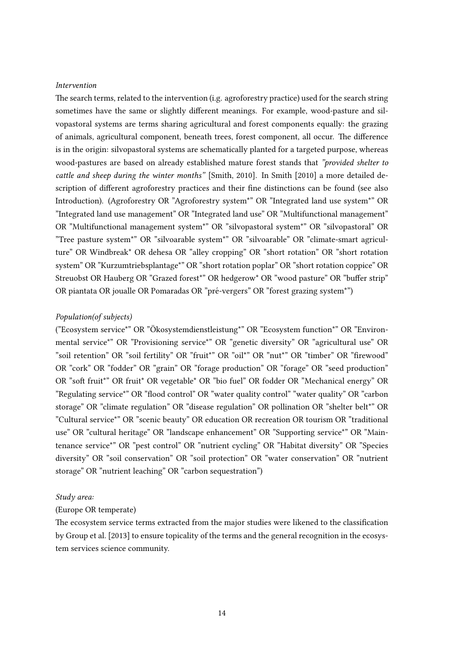#### Intervention

The search terms, related to the intervention (i.g. agroforestry practice) used for the search string sometimes have the same or slightly different meanings. For example, wood-pasture and silvopastoral systems are terms sharing agricultural and forest components equally: the grazing of animals, agricultural component, beneath trees, forest component, all occur. The difference is in the origin: silvopastoral systems are schematically planted for a targeted purpose, whereas wood-pastures are based on already established mature forest stands that "provided shelter to cattle and sheep during the winter months" [\[Smith, 2010\]](#page-56-1). In [Smith](#page-56-1) [\[2010\]](#page-56-1) a more detailed description of different agroforestry practices and their fine distinctions can be found (see also Introduction). (Agroforestry OR "Agroforestry system\*" OR "Integrated land use system\*" OR "Integrated land use management" OR "Integrated land use" OR "Multifunctional management" OR "Multifunctional management system\*" OR "silvopastoral system\*" OR "silvopastoral" OR "Tree pasture system\*" OR "silvoarable system\*" OR "silvoarable" OR "climate-smart agriculture" OR Windbreak\* OR dehesa OR "alley cropping" OR "short rotation" OR "short rotation system" OR "Kurzumtriebsplantage\*" OR "short rotation poplar" OR "short rotation coppice" OR Streuobst OR Hauberg OR "Grazed forest\*" OR hedgerow\* OR "wood pasture" OR "buffer strip" OR piantata OR joualle OR Pomaradas OR "pré-vergers" OR "forest grazing system\*")

#### Population(of subjects)

("Ecosystem service\*" OR "Okosystemdienstleistung\*" OR "Ecosystem function\*" OR "Environ- ¨ mental service\*" OR "Provisioning service\*" OR "genetic diversity" OR "agricultural use" OR "soil retention" OR "soil fertility" OR "fruit\*" OR "oil\*" OR "nut\*" OR "timber" OR "firewood" OR "cork" OR "fodder" OR "grain" OR "forage production" OR "forage" OR "seed production" OR "soft fruit\*" OR fruit\* OR vegetable\* OR "bio fuel" OR fodder OR "Mechanical energy" OR "Regulating service\*" OR "flood control" OR "water quality control" "water quality" OR "carbon storage" OR "climate regulation" OR "disease regulation" OR pollination OR "shelter belt\*" OR "Cultural service\*" OR "scenic beauty" OR education OR recreation OR tourism OR "traditional use" OR "cultural heritage" OR "landscape enhancement" OR "Supporting service\*" OR "Maintenance service\*" OR "pest control" OR "nutrient cycling" OR "Habitat diversity" OR "Species diversity" OR "soil conservation" OR "soil protection" OR "water conservation" OR "nutrient storage" OR "nutrient leaching" OR "carbon sequestration")

#### Study area:

#### (Europe OR temperate)

The ecosystem service terms extracted from the major studies were likened to the classification by [Group et al.](#page-54-5) [\[2013\]](#page-54-5) to ensure topicality of the terms and the general recognition in the ecosystem services science community.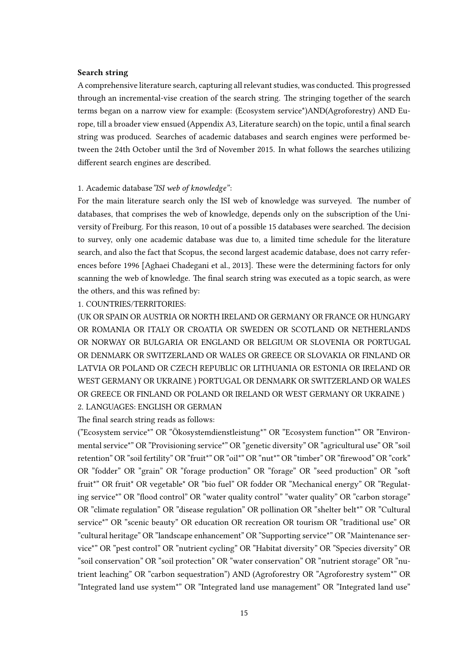#### Search string

A comprehensive literature search, capturing all relevant studies, was conducted. This progressed through an incremental-vise creation of the search string. The stringing together of the search terms began on a narrow view for example: (Ecosystem service\*)AND(Agroforestry) AND Europe, till a broader view ensued (Appendix A3, Literature search) on the topic, until a final search string was produced. Searches of academic databases and search engines were performed between the 24th October until the 3rd of November 2015. In what follows the searches utilizing different search engines are described.

#### 1. Academic database"ISI web of knowledge":

For the main literature search only the ISI web of knowledge was surveyed. The number of databases, that comprises the web of knowledge, depends only on the subscription of the University of Freiburg. For this reason, 10 out of a possible 15 databases were searched. The decision to survey, only one academic database was due to, a limited time schedule for the literature search, and also the fact that Scopus, the second largest academic database, does not carry refer-ences before 1996 [\[Aghaei Chadegani et al., 2013\]](#page-52-8). These were the determining factors for only scanning the web of knowledge. The final search string was executed as a topic search, as were the others, and this was refined by:

#### 1. COUNTRIES/TERRITORIES:

(UK OR SPAIN OR AUSTRIA OR NORTH IRELAND OR GERMANY OR FRANCE OR HUNGARY OR ROMANIA OR ITALY OR CROATIA OR SWEDEN OR SCOTLAND OR NETHERLANDS OR NORWAY OR BULGARIA OR ENGLAND OR BELGIUM OR SLOVENIA OR PORTUGAL OR DENMARK OR SWITZERLAND OR WALES OR GREECE OR SLOVAKIA OR FINLAND OR LATVIA OR POLAND OR CZECH REPUBLIC OR LITHUANIA OR ESTONIA OR IRELAND OR WEST GERMANY OR UKRAINE ) PORTUGAL OR DENMARK OR SWITZERLAND OR WALES OR GREECE OR FINLAND OR POLAND OR IRELAND OR WEST GERMANY OR UKRAINE ) 2. LANGUAGES: ENGLISH OR GERMAN

#### The final search string reads as follows:

("Ecosystem service\*" OR "Okosystemdienstleistung\*" OR "Ecosystem function\*" OR "Environ- ¨ mental service\*" OR "Provisioning service\*" OR "genetic diversity" OR "agricultural use" OR "soil retention" OR "soil fertility" OR "fruit\*" OR "oil\*" OR "nut\*" OR "timber" OR "firewood" OR "cork" OR "fodder" OR "grain" OR "forage production" OR "forage" OR "seed production" OR "so fruit\*" OR fruit\* OR vegetable\* OR "bio fuel" OR fodder OR "Mechanical energy" OR "Regulating service\*" OR "flood control" OR "water quality control" "water quality" OR "carbon storage" OR "climate regulation" OR "disease regulation" OR pollination OR "shelter belt\*" OR "Cultural service\*" OR "scenic beauty" OR education OR recreation OR tourism OR "traditional use" OR "cultural heritage" OR "landscape enhancement" OR "Supporting service\*" OR "Maintenance service\*" OR "pest control" OR "nutrient cycling" OR "Habitat diversity" OR "Species diversity" OR "soil conservation" OR "soil protection" OR "water conservation" OR "nutrient storage" OR "nutrient leaching" OR "carbon sequestration") AND (Agroforestry OR "Agroforestry system\*" OR "Integrated land use system\*" OR "Integrated land use management" OR "Integrated land use"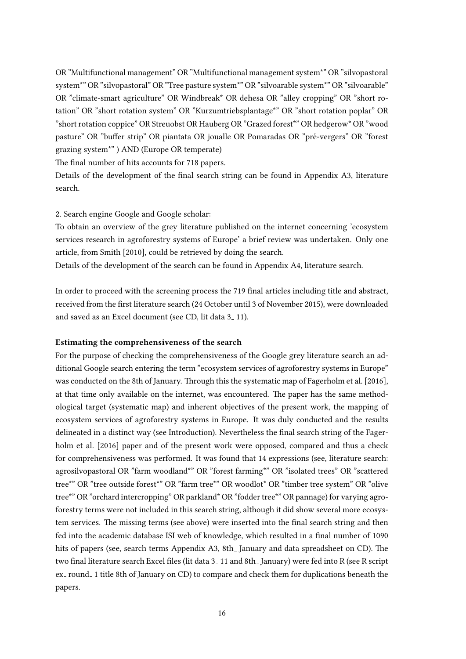OR "Multifunctional management" OR "Multifunctional management system\*" OR "silvopastoral system\*" OR "silvopastoral" OR "Tree pasture system\*" OR "silvoarable system\*" OR "silvoarable" OR "climate-smart agriculture" OR Windbreak\* OR dehesa OR "alley cropping" OR "short rotation" OR "short rotation system" OR "Kurzumtriebsplantage\*" OR "short rotation poplar" OR "short rotation coppice" OR Streuobst OR Hauberg OR "Grazed forest\*" OR hedgerow\* OR "wood pasture" OR "buffer strip" OR piantata OR joualle OR Pomaradas OR "pré-vergers" OR "forest grazing system\*" ) AND (Europe OR temperate)

The final number of hits accounts for 718 papers.

Details of the development of the final search string can be found in Appendix A3, literature search.

#### 2. Search engine Google and Google scholar:

To obtain an overview of the grey literature published on the internet concerning 'ecosystem services research in agroforestry systems of Europe' a brief review was undertaken. Only one article, from [Smith](#page-56-1) [\[2010\]](#page-56-1), could be retrieved by doing the search.

Details of the development of the search can be found in Appendix A4, literature search.

In order to proceed with the screening process the 719 final articles including title and abstract, received from the first literature search (24 October until 3 of November 2015), were downloaded and saved as an Excel document (see CD, lit data 3<sub>-11</sub>).

#### Estimating the comprehensiveness of the search

For the purpose of checking the comprehensiveness of the Google grey literature search an additional Google search entering the term "ecosystem services of agroforestry systems in Europe" was conducted on the 8th of January. Through this the systematic map of [Fagerholm et al.](#page-53-0) [\[2016\]](#page-53-0), at that time only available on the internet, was encountered. The paper has the same methodological target (systematic map) and inherent objectives of the present work, the mapping of ecosystem services of agroforestry systems in Europe. It was duly conducted and the results delineated in a distinct way (see Introduction). Nevertheless the final search string of the [Fager](#page-53-0)[holm et al.](#page-53-0) [\[2016\]](#page-53-0) paper and of the present work were opposed, compared and thus a check for comprehensiveness was performed. It was found that 14 expressions (see, literature search: agrosilvopastoral OR "farm woodland\*" OR "forest farming\*" OR "isolated trees" OR "scattered tree\*" OR "tree outside forest\*" OR "farm tree\*" OR woodlot\* OR "timber tree system" OR "olive tree\*" OR "orchard intercropping" OR parkland\* OR "fodder tree\*" OR pannage) for varying agroforestry terms were not included in this search string, although it did show several more ecosystem services. The missing terms (see above) were inserted into the final search string and then fed into the academic database ISI web of knowledge, which resulted in a final number of 1090 hits of papers (see, search terms Appendix A3, 8th January and data spreadsheet on CD). The two final literature search Excel files (lit data 3\_11 and 8th\_January) were fed into R (see R script ex\_round\_1 title 8th of January on CD) to compare and check them for duplications beneath the papers.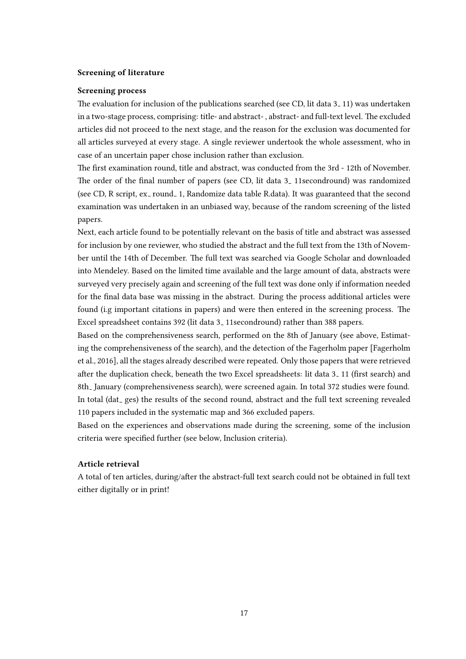#### Screening of literature

#### Screening process

The evaluation for inclusion of the publications searched (see CD, lit data  $3-11$ ) was undertaken in a two-stage process, comprising: title- and abstract-, abstract- and full-text level. The excluded articles did not proceed to the next stage, and the reason for the exclusion was documented for all articles surveyed at every stage. A single reviewer undertook the whole assessment, who in case of an uncertain paper chose inclusion rather than exclusion.

The first examination round, title and abstract, was conducted from the 3rd - 12th of November. The order of the final number of papers (see CD, lit data 3<sub>-11secondround</sub>) was randomized (see CD, R script, ex\_round\_1, Randomize data table R.data). It was guaranteed that the second examination was undertaken in an unbiased way, because of the random screening of the listed papers.

Next, each article found to be potentially relevant on the basis of title and abstract was assessed for inclusion by one reviewer, who studied the abstract and the full text from the 13th of November until the 14th of December. The full text was searched via Google Scholar and downloaded into Mendeley. Based on the limited time available and the large amount of data, abstracts were surveyed very precisely again and screening of the full text was done only if information needed for the final data base was missing in the abstract. During the process additional articles were found (i.g important citations in papers) and were then entered in the screening process. The Excel spreadsheet contains 392 (lit data 3<sub>-11secondround)</sub> rather than 388 papers.

Based on the comprehensiveness search, performed on the 8th of January (see above, Estimating the comprehensiveness of the search), and the detection of the Fagerholm paper [\[Fagerholm](#page-53-0) [et al., 2016\]](#page-53-0), all the stages already described were repeated. Only those papers that were retrieved after the duplication check, beneath the two Excel spreadsheets: lit data 3\_11 (first search) and 8th January (comprehensiveness search), were screened again. In total 372 studies were found. In total (dat<sub>-ges</sub>) the results of the second round, abstract and the full text screening revealed 110 papers included in the systematic map and 366 excluded papers.

Based on the experiences and observations made during the screening, some of the inclusion criteria were specified further (see below, Inclusion criteria).

#### Article retrieval

A total of ten articles, during/after the abstract-full text search could not be obtained in full text either digitally or in print!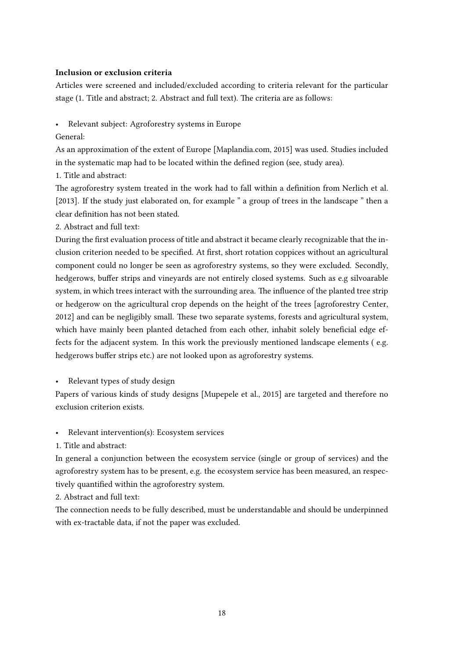#### Inclusion or exclusion criteria

Articles were screened and included/excluded according to criteria relevant for the particular stage (1. Title and abstract; 2. Abstract and full text). The criteria are as follows:

- Relevant subject: Agroforestry systems in Europe
- General:

As an approximation of the extent of Europe [\[Maplandia.com, 2015\]](#page-54-10) was used. Studies included in the systematic map had to be located within the defined region (see, study area).

1. Title and abstract:

The agroforestry system treated in the work had to fall within a definition from [Nerlich et al.](#page-55-5) [\[2013\]](#page-55-5). If the study just elaborated on, for example " a group of trees in the landscape " then a clear definition has not been stated.

2. Abstract and full text:

During the first evaluation process of title and abstract it became clearly recognizable that the inclusion criterion needed to be specified. At first, short rotation coppices without an agricultural component could no longer be seen as agroforestry systems, so they were excluded. Secondly, hedgerows, buffer strips and vineyards are not entirely closed systems. Such as e.g silvoarable system, in which trees interact with the surrounding area. The influence of the planted tree strip or hedgerow on the agricultural crop depends on the height of the trees [\[agroforestry Center,](#page-52-9) [2012\]](#page-52-9) and can be negligibly small. These two separate systems, forests and agricultural system, which have mainly been planted detached from each other, inhabit solely beneficial edge effects for the adjacent system. In this work the previously mentioned landscape elements ( e.g. hedgerows buffer strips etc.) are not looked upon as agroforestry systems.

Relevant types of study design

Papers of various kinds of study designs [\[Mupepele et al., 2015\]](#page-55-2) are targeted and therefore no exclusion criterion exists.

Relevant intervention(s): Ecosystem services

1. Title and abstract:

In general a conjunction between the ecosystem service (single or group of services) and the agroforestry system has to be present, e.g. the ecosystem service has been measured, an respectively quantified within the agroforestry system.

2. Abstract and full text:

The connection needs to be fully described, must be understandable and should be underpinned with ex-tractable data, if not the paper was excluded.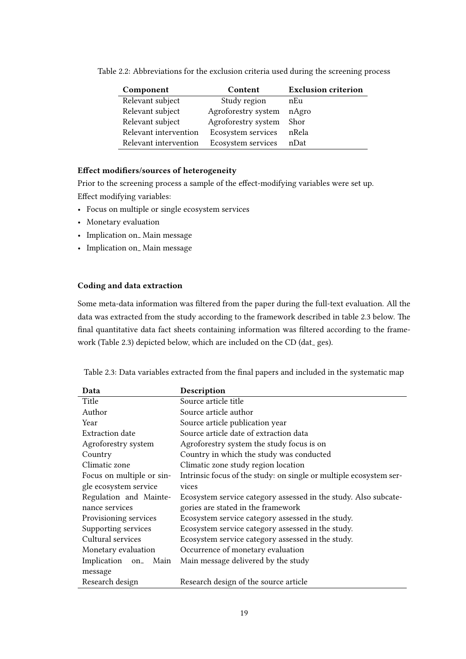| Component             | Content             | <b>Exclusion criterion</b> |
|-----------------------|---------------------|----------------------------|
| Relevant subject      | Study region        | nEu                        |
| Relevant subject      | Agroforestry system | nAgro                      |
| Relevant subject      | Agroforestry system | Shor                       |
| Relevant intervention | Ecosystem services  | nRela                      |
| Relevant intervention | Ecosystem services  | nDat                       |

<span id="page-25-0"></span>Table 2.2: Abbreviations for the exclusion criteria used during the screening process

#### Effect modifiers/sources of heterogeneity

Prior to the screening process a sample of the effect-modifying variables were set up. Effect modifying variables:

- Focus on multiple or single ecosystem services
- Monetary evaluation
- Implication on\_Main message
- Implication on\_Main message

#### Coding and data extraction

Some meta-data information was filtered from the paper during the full-text evaluation. All the data was extracted from the study according to the framework described in table 2.3 below. The final quantitative data fact sheets containing information was filtered according to the framework (Table 2.3) depicted below, which are included on the CD (dat\_ges).

<span id="page-25-1"></span>

|  |  | Table 2.3: Data variables extracted from the final papers and included in the systematic map |
|--|--|----------------------------------------------------------------------------------------------|
|  |  |                                                                                              |

| Data                                                     | Description                                                        |  |  |  |  |
|----------------------------------------------------------|--------------------------------------------------------------------|--|--|--|--|
| Title                                                    | Source article title                                               |  |  |  |  |
| Author                                                   | Source article author                                              |  |  |  |  |
| Year                                                     | Source article publication year                                    |  |  |  |  |
| Extraction date                                          | Source article date of extraction data                             |  |  |  |  |
| Agroforestry system                                      | Agroforestry system the study focus is on                          |  |  |  |  |
| Country                                                  | Country in which the study was conducted                           |  |  |  |  |
| Climatic zone                                            | Climatic zone study region location                                |  |  |  |  |
| Focus on multiple or sin-                                | Intrinsic focus of the study: on single or multiple ecosystem ser- |  |  |  |  |
| gle ecosystem service                                    | vices                                                              |  |  |  |  |
| Regulation and Mainte-                                   | Ecosystem service category assessed in the study. Also subcate-    |  |  |  |  |
| nance services                                           | gories are stated in the framework                                 |  |  |  |  |
| Provisioning services                                    | Ecosystem service category assessed in the study.                  |  |  |  |  |
| Supporting services                                      | Ecosystem service category assessed in the study.                  |  |  |  |  |
| Cultural services                                        | Ecosystem service category assessed in the study.                  |  |  |  |  |
| Occurrence of monetary evaluation<br>Monetary evaluation |                                                                    |  |  |  |  |
| Implication on_<br>Main                                  | Main message delivered by the study                                |  |  |  |  |
| message                                                  |                                                                    |  |  |  |  |
| Research design                                          | Research design of the source article                              |  |  |  |  |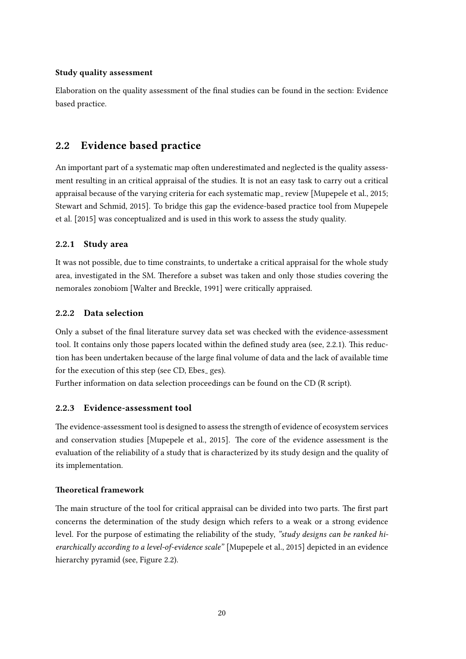#### Study quality assessment

Elaboration on the quality assessment of the final studies can be found in the section: Evidence based practice.

#### <span id="page-26-0"></span>2.2 Evidence based practice

An important part of a systematic map often underestimated and neglected is the quality assessment resulting in an critical appraisal of the studies. It is not an easy task to carry out a critical appraisal because of the varying criteria for each systematic map review [\[Mupepele et al., 2015;](#page-55-2) [Stewart and Schmid, 2015\]](#page-56-10). To bridge this gap the evidence-based practice tool from [Mupepele](#page-55-2) [et al.](#page-55-2) [\[2015\]](#page-55-2) was conceptualized and is used in this work to assess the study quality.

#### 2.2.1 Study area

It was not possible, due to time constraints, to undertake a critical appraisal for the whole study area, investigated in the SM. Therefore a subset was taken and only those studies covering the nemorales zonobiom [\[Walter and Breckle, 1991\]](#page-57-5) were critically appraised.

#### 2.2.2 Data selection

Only a subset of the final literature survey data set was checked with the evidence-assessment tool. It contains only those papers located within the defined study area (see, 2.2.1). This reduction has been undertaken because of the large final volume of data and the lack of available time for the execution of this step (see CD, Ebes<sub>-ges)</sub>.

Further information on data selection proceedings can be found on the CD (R script).

#### 2.2.3 Evidence-assessment tool

The evidence-assessment tool is designed to assess the strength of evidence of ecosystem services and conservation studies [\[Mupepele et al., 2015\]](#page-55-2). The core of the evidence assessment is the evaluation of the reliability of a study that is characterized by its study design and the quality of its implementation.

#### Theoretical framework

The main structure of the tool for critical appraisal can be divided into two parts. The first part concerns the determination of the study design which refers to a weak or a strong evidence level. For the purpose of estimating the reliability of the study, "study designs can be ranked hierarchically according to a level-of-evidence scale" [\[Mupepele et al., 2015\]](#page-55-2) depicted in an evidence hierarchy pyramid (see, Figure 2.2).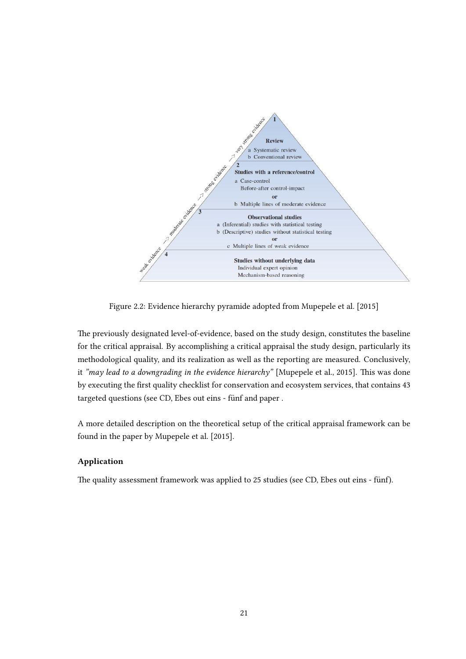<span id="page-27-0"></span>

Figure 2.2: Evidence hierarchy pyramide adopted from [Mupepele et al.](#page-55-2) [\[2015\]](#page-55-2)

The previously designated level-of-evidence, based on the study design, constitutes the baseline for the critical appraisal. By accomplishing a critical appraisal the study design, particularly its methodological quality, and its realization as well as the reporting are measured. Conclusively, it "may lead to a downgrading in the evidence hierarchy" [\[Mupepele et al., 2015\]](#page-55-2). This was done by executing the first quality checklist for conservation and ecosystem services, that contains 43 targeted questions (see CD, Ebes out eins - fünf and paper .

A more detailed description on the theoretical setup of the critical appraisal framework can be found in the paper by [Mupepele et al.](#page-55-2) [\[2015\]](#page-55-2).

#### Application

The quality assessment framework was applied to 25 studies (see CD, Ebes out eins - fünf).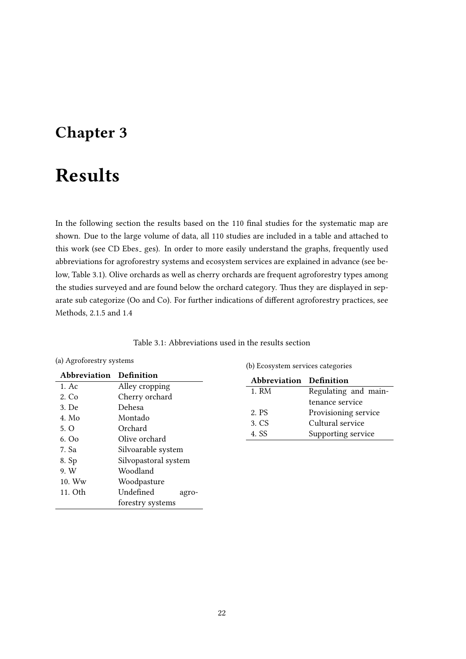### <span id="page-28-0"></span>Chapter 3

## Results

In the following section the results based on the 110 final studies for the systematic map are shown. Due to the large volume of data, all 110 studies are included in a table and attached to this work (see CD Ebes<sub>-ges</sub>). In order to more easily understand the graphs, frequently used abbreviations for agroforestry systems and ecosystem services are explained in advance (see below, Table 3.1). Olive orchards as well as cherry orchards are frequent agroforestry types among the studies surveyed and are found below the orchard category. Thus they are displayed in separate sub categorize (Oo and Co). For further indications of different agroforestry practices, see Methods, 2.1.5 and 1.4

| Table 3.1: Abbreviations used in the results section |  |  |
|------------------------------------------------------|--|--|
|------------------------------------------------------|--|--|

#### <span id="page-28-1"></span>(a) Agroforestry systems

| Abbreviation Definition |                      |
|-------------------------|----------------------|
| 1. Ac                   | Alley cropping       |
| 2. Co                   | Cherry orchard       |
| 3. De                   | Dehesa               |
| 4. Mo                   | Montado              |
| 5. O                    | Orchard              |
| 6.00                    | Olive orchard        |
| 7. Sa                   | Silvoarable system   |
| 8. Sp                   | Silvopastoral system |
| 9. W                    | Woodland             |
| $10.$ Ww                | Woodpasture          |
| 11. Oth                 | Undefined<br>agro-   |
|                         | forestry systems     |

(b) Ecosystem services categories

| Abbreviation Definition |                      |
|-------------------------|----------------------|
| 1. RM                   | Regulating and main- |
|                         | tenance service      |
| 2. PS                   | Provisioning service |
| 3. CS                   | Cultural service     |
| 4 SS                    | Supporting service   |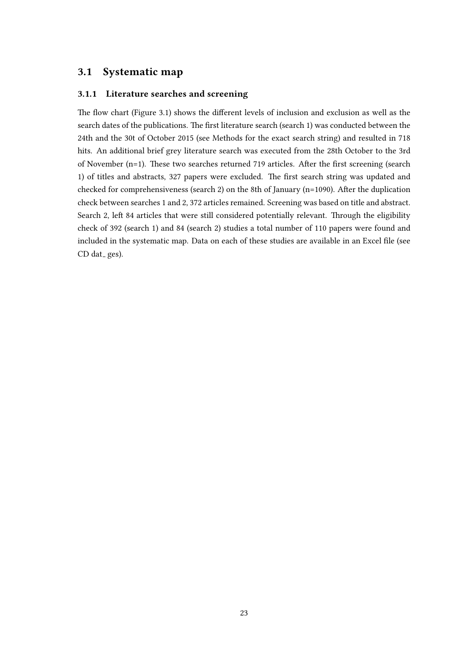#### <span id="page-29-0"></span>3.1 Systematic map

#### 3.1.1 Literature searches and screening

The flow chart (Figure 3.1) shows the different levels of inclusion and exclusion as well as the search dates of the publications. The first literature search (search 1) was conducted between the 24th and the 30t of October 2015 (see Methods for the exact search string) and resulted in 718 hits. An additional brief grey literature search was executed from the 28th October to the 3rd of November (n=1). These two searches returned 719 articles. After the first screening (search 1) of titles and abstracts, 327 papers were excluded. The first search string was updated and checked for comprehensiveness (search 2) on the 8th of January ( $n=1090$ ). After the duplication check between searches 1 and 2, 372 articles remained. Screening was based on title and abstract. Search 2, left 84 articles that were still considered potentially relevant. Through the eligibility check of 392 (search 1) and 84 (search 2) studies a total number of 110 papers were found and included in the systematic map. Data on each of these studies are available in an Excel file (see  $CD$  dat ges).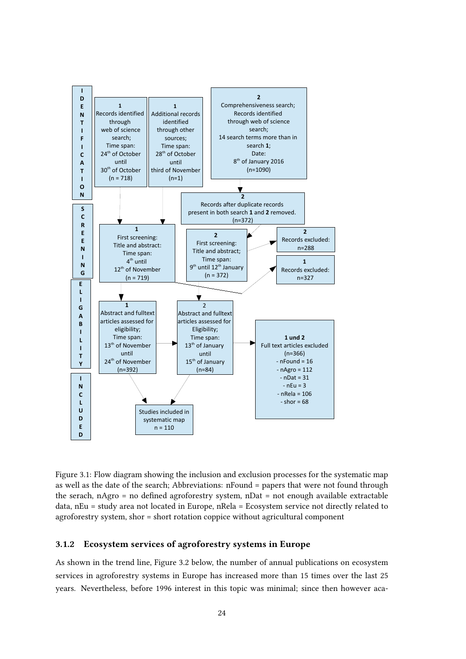<span id="page-30-0"></span>

Figure 3.1: Flow diagram showing the inclusion and exclusion processes for the systematic map as well as the date of the search; Abbreviations: nFound = papers that were not found through the serach,  $nAgro = no defined agroforestry system, nDa<sub>t</sub> = not enough available extractable$ data, nEu = study area not located in Europe, nRela = Ecosystem service not directly related to agroforestry system, shor = short rotation coppice without agricultural component

#### 3.1.2 Ecosystem services of agroforestry systems in Europe

As shown in the trend line, Figure 3.2 below, the number of annual publications on ecosystem services in agroforestry systems in Europe has increased more than 15 times over the last 25 years. Nevertheless, before 1996 interest in this topic was minimal; since then however aca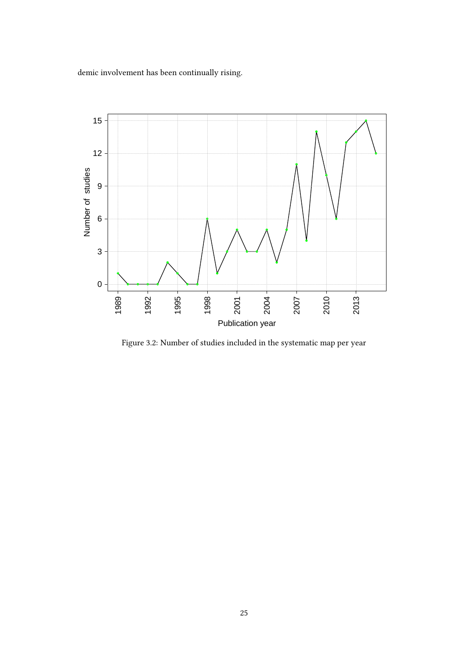demic involvement has been continually rising.

<span id="page-31-0"></span>

Figure 3.2: Number of studies included in the systematic map per year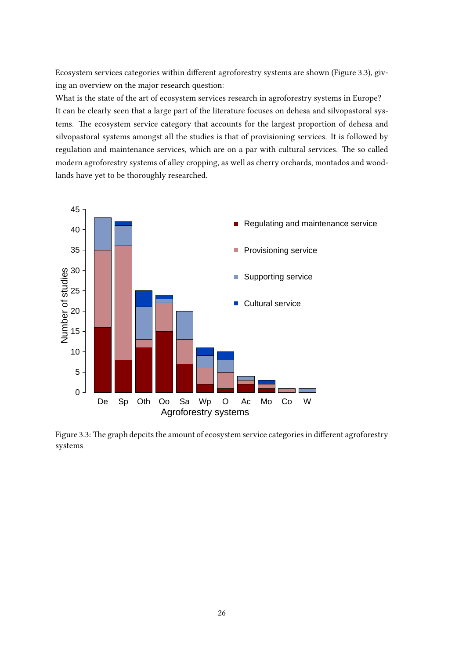Ecosystem services categories within different agroforestry systems are shown (Figure 3.3), giving an overview on the major research question:

What is the state of the art of ecosystem services research in agroforestry systems in Europe? It can be clearly seen that a large part of the literature focuses on dehesa and silvopastoral systems. The ecosystem service category that accounts for the largest proportion of dehesa and silvopastoral systems amongst all the studies is that of provisioning services. It is followed by regulation and maintenance services, which are on a par with cultural services. The so called modern agroforestry systems of alley cropping, as well as cherry orchards, montados and woodlands have yet to be thoroughly researched.

<span id="page-32-0"></span>

Figure 3.3: The graph depcits the amount of ecosystem service categories in different agroforestry systems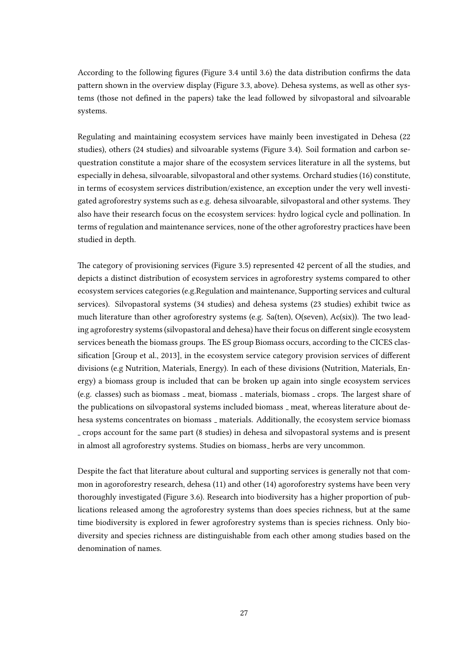According to the following figures (Figure 3.4 until 3.6) the data distribution confirms the data pattern shown in the overview display (Figure 3.3, above). Dehesa systems, as well as other systems (those not defined in the papers) take the lead followed by silvopastoral and silvoarable systems.

Regulating and maintaining ecosystem services have mainly been investigated in Dehesa (22 studies), others (24 studies) and silvoarable systems (Figure 3.4). Soil formation and carbon sequestration constitute a major share of the ecosystem services literature in all the systems, but especially in dehesa, silvoarable, silvopastoral and other systems. Orchard studies (16) constitute, in terms of ecosystem services distribution/existence, an exception under the very well investigated agroforestry systems such as e.g. dehesa silvoarable, silvopastoral and other systems. They also have their research focus on the ecosystem services: hydro logical cycle and pollination. In terms of regulation and maintenance services, none of the other agroforestry practices have been studied in depth.

e category of provisioning services (Figure 3.5) represented 42 percent of all the studies, and depicts a distinct distribution of ecosystem services in agroforestry systems compared to other ecosystem services categories (e.g.Regulation and maintenance, Supporting services and cultural services). Silvopastoral systems (34 studies) and dehesa systems (23 studies) exhibit twice as much literature than other agroforestry systems (e.g. Sa(ten), O(seven),  $Ac(six)$ ). The two leading agroforestry systems (silvopastoral and dehesa) have their focus on different single ecosystem services beneath the biomass groups. The ES group Biomass occurs, according to the CICES clas-sification [\[Group et al., 2013\]](#page-54-5), in the ecosystem service category provision services of different divisions (e.g Nutrition, Materials, Energy). In each of these divisions (Nutrition, Materials, Energy) a biomass group is included that can be broken up again into single ecosystem services (e.g. classes) such as biomass  $\overline{\ }$  meat, biomass  $\overline{\ }$  materials, biomass  $\overline{\ }$  crops. The largest share of the publications on silvopastoral systems included biomass  $\lrcorner$  meat, whereas literature about dehesa systems concentrates on biomass \_ materials. Additionally, the ecosystem service biomass crops account for the same part (8 studies) in dehesa and silvopastoral systems and is present in almost all agroforestry systems. Studies on biomass<sub>-</sub> herbs are very uncommon.

Despite the fact that literature about cultural and supporting services is generally not that common in agoroforestry research, dehesa (11) and other (14) agoroforestry systems have been very thoroughly investigated (Figure 3.6). Research into biodiversity has a higher proportion of publications released among the agroforestry systems than does species richness, but at the same time biodiversity is explored in fewer agroforestry systems than is species richness. Only biodiversity and species richness are distinguishable from each other among studies based on the denomination of names.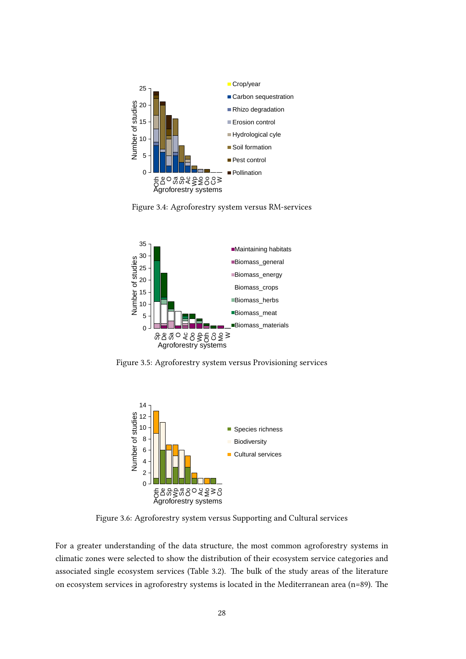<span id="page-34-0"></span>



<span id="page-34-1"></span>

<span id="page-34-2"></span>Figure 3.5: Agroforestry system versus Provisioning services



Figure 3.6: Agroforestry system versus Supporting and Cultural services

For a greater understanding of the data structure, the most common agroforestry systems in climatic zones were selected to show the distribution of their ecosystem service categories and associated single ecosystem services (Table 3.2). The bulk of the study areas of the literature on ecosystem services in agroforestry systems is located in the Mediterranean area ( $n=89$ ). The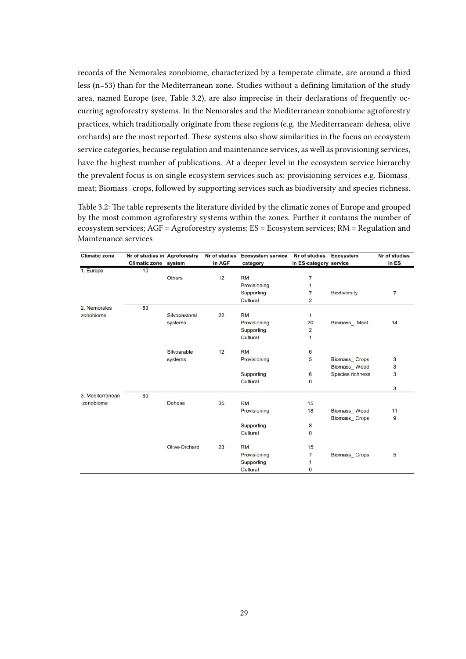records of the Nemorales zonobiome, characterized by a temperate climate, are around a third less  $(n=53)$  than for the Mediterranean zone. Studies without a defining limitation of the study area, named Europe (see, Table 3.2), are also imprecise in their declarations of frequently occurring agroforestry systems. In the Nemorales and the Mediterranean zonobiome agroforestry practices, which traditionally originate from these regions (e.g. the Mediterranean: dehesa, olive orchards) are the most reported. These systems also show similarities in the focus on ecosystem service categories, because regulation and maintenance services, as well as provisioning services, have the highest number of publications. At a deeper level in the ecosystem service hierarchy the prevalent focus is on single ecosystem services such as: provisioning services e.g. Biomass meat; Biomass<sub>-</sub> crops, followed by supporting services such as biodiversity and species richness.

<span id="page-35-0"></span>Table 3.2: The table represents the literature divided by the climatic zones of Europe and grouped by the most common agroforestry systems within the zones. Further it contains the number of ecosystem services; AGF = Agroforestry systems; ES = Ecosystem services; RM = Regulation and Maintenance services

| <b>Climatic zone</b> | Nr of studies in Agroforestry |               |        | Nr of studies Ecosystem service | Nr of studies Ecosystem |                     | <b>Nr of studies</b> |
|----------------------|-------------------------------|---------------|--------|---------------------------------|-------------------------|---------------------|----------------------|
|                      | <b>Climatic zone</b> system   |               | in AGF | category                        | in ES-category service  |                     | in ES                |
| 1. Europe            | 10                            |               |        |                                 |                         |                     |                      |
|                      |                               | <b>Others</b> | 12     | <b>RM</b>                       | 7                       |                     |                      |
|                      |                               |               |        | Provisioning                    | $\mathbf{1}$            |                     |                      |
|                      |                               |               |        | Supporting                      | $\overline{7}$          | <b>Biodiversity</b> | $\overline{7}$       |
|                      |                               |               |        | Cultural                        | $\overline{2}$          |                     |                      |
| 2. Nemorales         | 53                            |               |        |                                 |                         |                     |                      |
| zonobiome            |                               | Silvopastoral | 22     | <b>RM</b>                       | $\mathbf{1}$            |                     |                      |
|                      |                               | systems       |        | Provisioning                    | 20                      | Biomass Meat        | 14                   |
|                      |                               |               |        | Supporting                      | $\overline{2}$          |                     |                      |
|                      |                               |               |        | Cultural                        | 1                       |                     |                      |
|                      |                               | Silvoarable   | 12     | <b>RM</b>                       | 6                       |                     |                      |
|                      |                               | systems       |        | Provisioning                    | 5                       | Biomass Crops       | 3                    |
|                      |                               |               |        |                                 |                         | Biomass Wood        | 3                    |
|                      |                               |               |        | Supporting                      | 6                       | Species richness    | 3                    |
|                      |                               |               |        | Cultural                        | $\Omega$                |                     |                      |
|                      |                               |               |        |                                 |                         |                     | 3                    |
| 3. Mediterranean     | 89                            |               |        |                                 |                         |                     |                      |
| zonobiome            |                               | Dehesa        | 35     | <b>RM</b>                       | 15                      |                     |                      |
|                      |                               |               |        | Provisioning                    | 18                      | Biomass Wood        | 11                   |
|                      |                               |               |        |                                 |                         | Biomass_Crops       | 9                    |
|                      |                               |               |        | Supporting                      | 8                       |                     |                      |
|                      |                               |               |        | Cultural                        | $\mathbf{0}$            |                     |                      |
|                      |                               | Olive-Orchard | 23     | <b>RM</b>                       | 15                      |                     |                      |
|                      |                               |               |        | Provisioning                    | $\overline{7}$          | Biomass Crops       | 5                    |
|                      |                               |               |        | Supporting                      | 1                       |                     |                      |
|                      |                               |               |        | Cultural                        | $\mathbf{0}$            |                     |                      |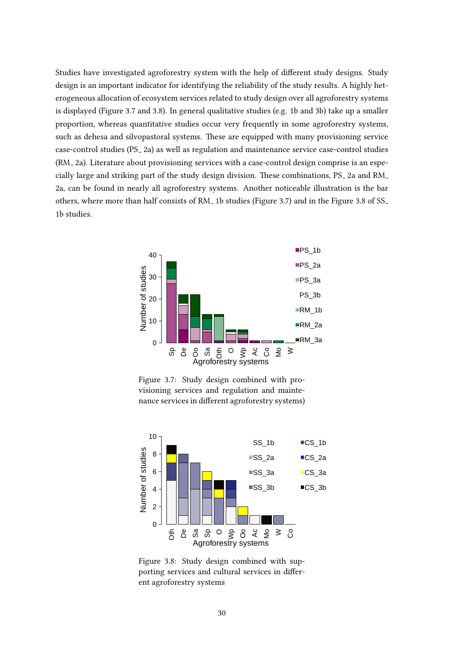Studies have investigated agroforestry system with the help of different study designs. Study design is an important indicator for identifying the reliability of the study results. A highly heterogeneous allocation of ecosystem services related to study design over all agroforestry systems is displayed (Figure 3.7 and 3.8). In general qualitative studies (e.g. 1b and 3b) take up a smaller proportion, whereas quantitative studies occur very frequently in some agroforestry systems, such as dehesa and silvopastoral systems. These are equipped with many provisioning service case-control studies (PS<sub>-2a</sub>) as well as regulation and maintenance service case-control studies (RM 2a). Literature about provisioning services with a case-control design comprise is an especially large and striking part of the study design division. These combinations,  $PS_2$  2a and  $RM_1$ 2a, can be found in nearly all agroforestry systems. Another noticeable illustration is the bar others, where more than half consists of RM<sub>-1</sub> b studies (Figure 3.7) and in the Figure 3.8 of SS<sub>-</sub> 1b studies.



Figure 3.7: Study design combined with provisioning services and regulation and maintenance services in different agroforestry systems)



Figure 3.8: Study design combined with supporting services and cultural services in different agroforestry systems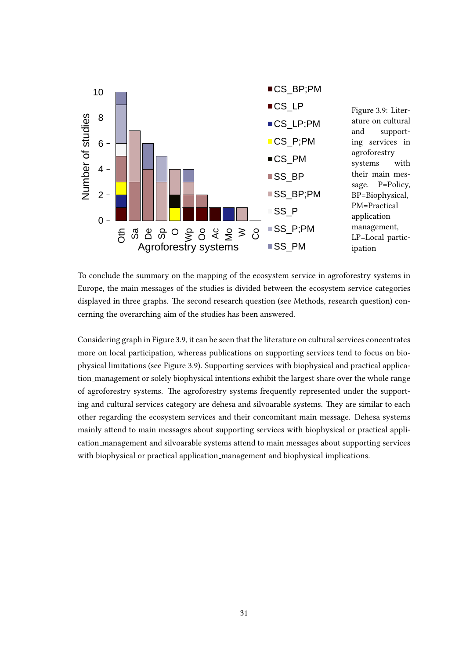

To conclude the summary on the mapping of the ecosystem service in agroforestry systems in Europe, the main messages of the studies is divided between the ecosystem service categories displayed in three graphs. The second research question (see Methods, research question) concerning the overarching aim of the studies has been answered.

Considering graph in Figure 3.9, it can be seen that the literature on cultural services concentrates more on local participation, whereas publications on supporting services tend to focus on biophysical limitations (see Figure 3.9). Supporting services with biophysical and practical application management or solely biophysical intentions exhibit the largest share over the whole range of agroforestry systems. The agroforestry systems frequently represented under the supporting and cultural services category are dehesa and silvoarable systems. They are similar to each other regarding the ecosystem services and their concomitant main message. Dehesa systems mainly attend to main messages about supporting services with biophysical or practical application management and silvoarable systems attend to main messages about supporting services with biophysical or practical application management and biophysical implications.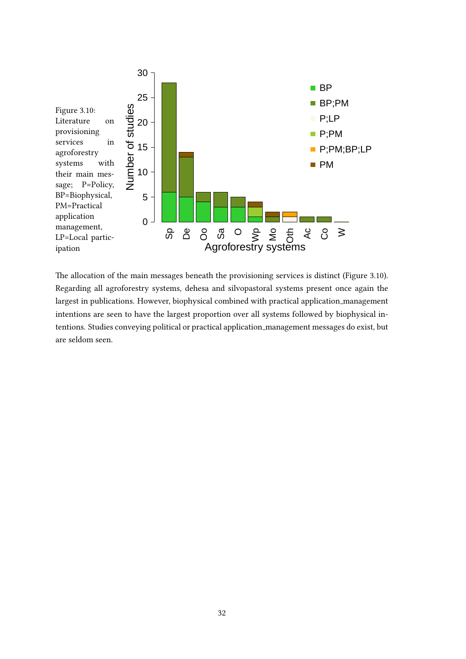

The allocation of the main messages beneath the provisioning services is distinct (Figure 3.10). Regarding all agroforestry systems, dehesa and silvopastoral systems present once again the largest in publications. However, biophysical combined with practical application management intentions are seen to have the largest proportion over all systems followed by biophysical intentions. Studies conveying political or practical application management messages do exist, but are seldom seen.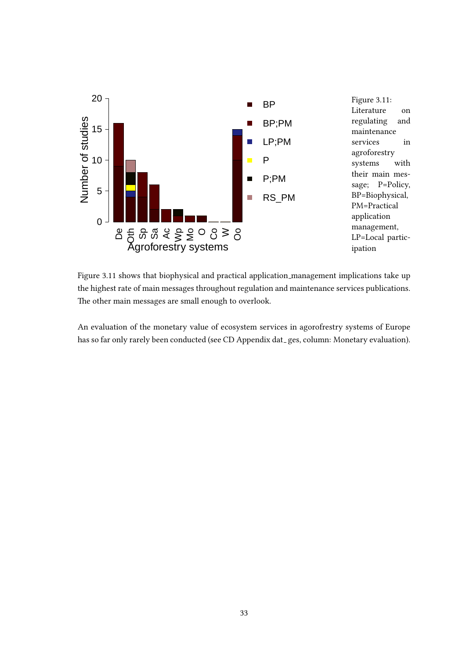

Figure 3.11 shows that biophysical and practical application management implications take up the highest rate of main messages throughout regulation and maintenance services publications. The other main messages are small enough to overlook.

An evaluation of the monetary value of ecosystem services in agorofrestry systems of Europe has so far only rarely been conducted (see CD Appendix dat\_ges, column: Monetary evaluation).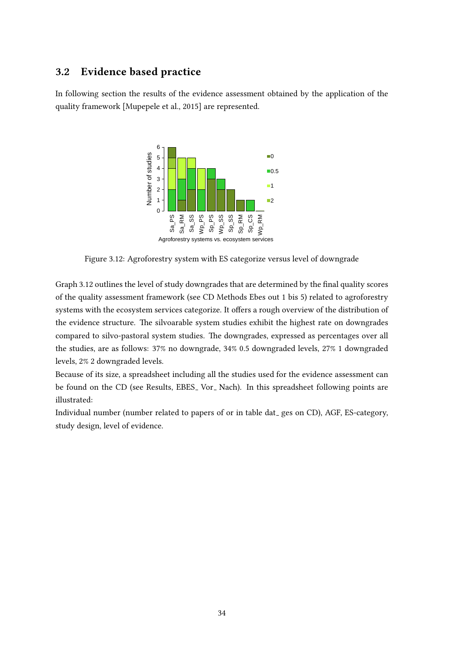## 3.2 Evidence based practice

In following section the results of the evidence assessment obtained by the application of the quality framework [\[Mupepele et al., 2015\]](#page-55-0) are represented.



Figure 3.12: Agroforestry system with ES categorize versus level of downgrade

Graph 3.12 outlines the level of study downgrades that are determined by the final quality scores of the quality assessment framework (see CD Methods Ebes out 1 bis 5) related to agroforestry systems with the ecosystem services categorize. It offers a rough overview of the distribution of the evidence structure. The silvoarable system studies exhibit the highest rate on downgrades compared to silvo-pastoral system studies. The downgrades, expressed as percentages over all the studies, are as follows: 37% no downgrade, 34% 0.5 downgraded levels, 27% 1 downgraded levels, 2% 2 downgraded levels.

Because of its size, a spreadsheet including all the studies used for the evidence assessment can be found on the CD (see Results, EBES<sub>-</sub> Vor<sub>-</sub> Nach). In this spreadsheet following points are illustrated:

Individual number (number related to papers of or in table dat ges on CD), AGF, ES-category, study design, level of evidence.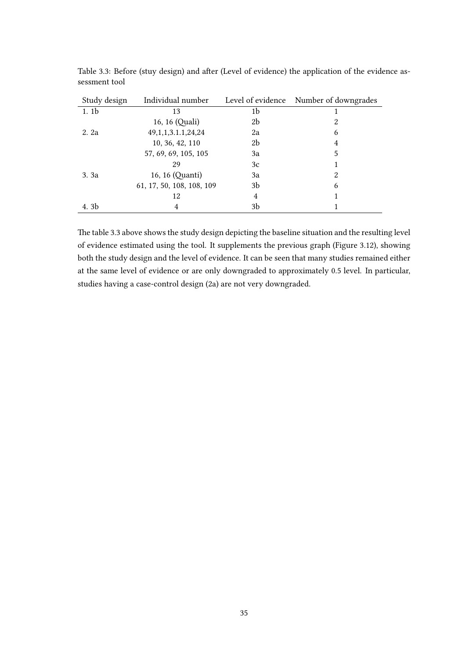| Study design     | Individual number         |    | Level of evidence Number of downgrades |
|------------------|---------------------------|----|----------------------------------------|
| 1.1 <sub>b</sub> | 13                        | 1b |                                        |
|                  | 16, 16 (Quali)            | 2b | 2                                      |
| 2. 2a            | 49, 1, 1, 3. 1. 1, 24, 24 | 2a | 6                                      |
|                  | 10, 36, 42, 110           | 2b | 4                                      |
|                  | 57, 69, 69, 105, 105      | 3a | 5                                      |
|                  | 29                        | 3c |                                        |
| 3. 3a            | 16, 16 (Quanti)           | 3a | 2                                      |
|                  | 61, 17, 50, 108, 108, 109 | 3b | 6                                      |
|                  | 12                        | 4  |                                        |
| 4. 3b            | 4                         | 3b |                                        |

Table 3.3: Before (stuy design) and after (Level of evidence) the application of the evidence assessment tool

The table 3.3 above shows the study design depicting the baseline situation and the resulting level of evidence estimated using the tool. It supplements the previous graph (Figure 3.12), showing both the study design and the level of evidence. It can be seen that many studies remained either at the same level of evidence or are only downgraded to approximately 0.5 level. In particular, studies having a case-control design (2a) are not very downgraded.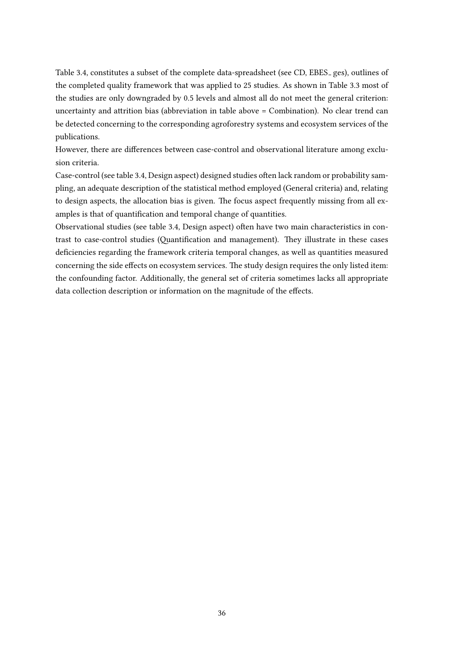Table 3.4, constitutes a subset of the complete data-spreadsheet (see CD, EBES<sub>-ges)</sub>, outlines of the completed quality framework that was applied to 25 studies. As shown in Table 3.3 most of the studies are only downgraded by 0.5 levels and almost all do not meet the general criterion: uncertainty and attrition bias (abbreviation in table above  $=$  Combination). No clear trend can be detected concerning to the corresponding agroforestry systems and ecosystem services of the publications.

However, there are differences between case-control and observational literature among exclusion criteria.

Case-control (see table 3.4, Design aspect) designed studies often lack random or probability sampling, an adequate description of the statistical method employed (General criteria) and, relating to design aspects, the allocation bias is given. The focus aspect frequently missing from all examples is that of quantification and temporal change of quantities.

Observational studies (see table 3.4, Design aspect) often have two main characteristics in contrast to case-control studies (Quantification and management). They illustrate in these cases deficiencies regarding the framework criteria temporal changes, as well as quantities measured concerning the side effects on ecosystem services. The study design requires the only listed item: the confounding factor. Additionally, the general set of criteria sometimes lacks all appropriate data collection description or information on the magnitude of the effects.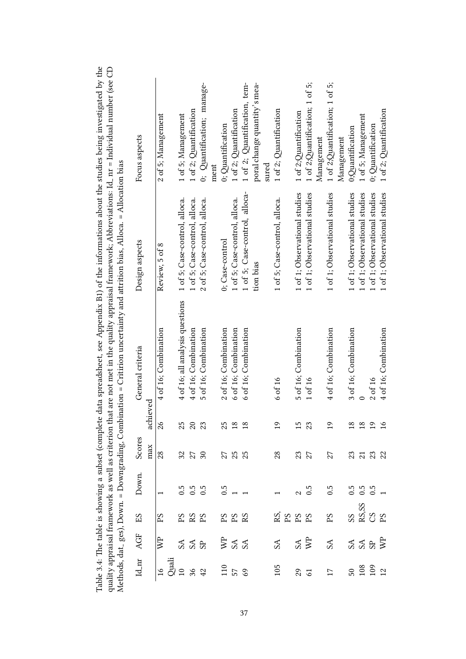|                                                                                                      |                               |                                                                                  | ality appraisal framework as well as criterion   |                                               |                                         | ethods, dat_ges), Down. = Downgrading, Combination = Critirion uncertainty and attrition bias, Alloca. = Allocation bias |                               | that are not met in the quality appraisal framework; Abbreviations: Id. nr = Individual number (see $\cup$ |
|------------------------------------------------------------------------------------------------------|-------------------------------|----------------------------------------------------------------------------------|--------------------------------------------------|-----------------------------------------------|-----------------------------------------|--------------------------------------------------------------------------------------------------------------------------|-------------------------------|------------------------------------------------------------------------------------------------------------|
| $Id$ <sub>-nr</sub>                                                                                  | AGF                           | ES                                                                               | Down.                                            | Scores                                        |                                         | General criteria                                                                                                         | Design aspects                | Focus aspects                                                                                              |
|                                                                                                      |                               |                                                                                  |                                                  | max                                           | achieved                                |                                                                                                                          |                               |                                                                                                            |
| $\frac{1}{6}$                                                                                        | WP                            | $\rm{PS}$                                                                        | $\overline{\phantom{0}}$                         | 28                                            | $\approx$                               | 4 of 16; Combination                                                                                                     | Review, 5 of 8                | 2 of 5; Management                                                                                         |
|                                                                                                      |                               |                                                                                  |                                                  |                                               |                                         |                                                                                                                          |                               |                                                                                                            |
|                                                                                                      |                               | 28B                                                                              |                                                  |                                               |                                         | 4 of 16; all analysis questions                                                                                          | 1 of 5; Case-control, alloca. | 1 of 5; Management                                                                                         |
|                                                                                                      | 33B                           |                                                                                  | $0.5$<br>$0.5$<br>$0.5$                          | $\begin{array}{c} 32 \\ 21 \\ 30 \end{array}$ | 383                                     | 4 of 16; Combination                                                                                                     | 1 of 5; Case-control, alloca. | 1 of 2; Quantification                                                                                     |
| $\frac{3}{2}$<br>$\frac{3}{2}$ $\frac{3}{2}$ $\frac{4}{3}$ $\frac{3}{2}$ $\frac{5}{2}$ $\frac{8}{3}$ |                               |                                                                                  |                                                  |                                               |                                         | 5 of 16; Combination                                                                                                     | 2 of 5; Case-control, alloca. | 0; Quantification; manage-                                                                                 |
|                                                                                                      |                               |                                                                                  |                                                  |                                               |                                         |                                                                                                                          |                               | ment                                                                                                       |
|                                                                                                      | \$35                          |                                                                                  |                                                  |                                               |                                         | 2 of 16; Combination                                                                                                     | 0; Case-control               | 0; Quantification                                                                                          |
|                                                                                                      |                               | $^{25}$ S3                                                                       | $0.5$<br>1 $1$                                   | 25<br>25                                      | 252                                     | 6 of 16; Combination                                                                                                     | 1 of 5; Case-control, alloca. | 1 of 2; Quantification                                                                                     |
|                                                                                                      |                               |                                                                                  |                                                  |                                               |                                         | 6 of 16; Combination                                                                                                     | 1 of 5; Case-control, alloca- | 1 of 2; Quantification, tem-                                                                               |
|                                                                                                      |                               |                                                                                  |                                                  |                                               |                                         |                                                                                                                          | tion bias                     | poral change quantity's mea-<br>sured                                                                      |
| 105                                                                                                  | $S_A$                         |                                                                                  | $\overline{a}$                                   | 28                                            | $\Xi$                                   | 6 of 16                                                                                                                  | 1 of 5; Case-control, alloca. | 1 of 2; Quantification                                                                                     |
|                                                                                                      |                               | $\stackrel{\sim}{\approx}$ $\stackrel{\sim}{\approx}$ $\stackrel{\sim}{\approx}$ |                                                  |                                               |                                         |                                                                                                                          |                               |                                                                                                            |
|                                                                                                      |                               |                                                                                  | $\mathbf{c}$                                     |                                               |                                         | 5 of 16; Combination                                                                                                     | 1 of 1; Observational studies | 1 of 2;Quantification                                                                                      |
|                                                                                                      | $\frac{\text{SA}}{\text{NP}}$ |                                                                                  | 0.5                                              | $\frac{23}{27}$                               | 15<br>23                                | 1 of 16                                                                                                                  | 1 of 1; Observational studies | 1 of 2;Quantification; 1 of 5;                                                                             |
|                                                                                                      |                               |                                                                                  |                                                  |                                               |                                         |                                                                                                                          |                               | Management                                                                                                 |
| $235$ $17$                                                                                           | SA                            | $_{\rm{PS}}$                                                                     | 0.5                                              | 27                                            | $\Xi$                                   | 4 of 16; Combination                                                                                                     | 1 of 1; Observational studies | 1 of 2;Quantification; 1 of 5;                                                                             |
|                                                                                                      |                               |                                                                                  |                                                  |                                               |                                         |                                                                                                                          |                               | Management                                                                                                 |
|                                                                                                      |                               |                                                                                  | $\begin{array}{c} 0.5 \\ 0.5 \\ 0.5 \end{array}$ |                                               |                                         | 3 of 16; Combination                                                                                                     | 1 of 1; Observational studies | 0;Quantification                                                                                           |
|                                                                                                      |                               |                                                                                  |                                                  |                                               |                                         |                                                                                                                          | 1 of 1; Observational studies | 1 of 5; Management                                                                                         |
| 508022                                                                                               | 33B                           | ss<br>8. SS<br>8. SS                                                             |                                                  |                                               | $\begin{array}{c} 25 \\ 25 \end{array}$ | 2 of 16                                                                                                                  | of 1; Observational studies   | 0; Quantification                                                                                          |
|                                                                                                      |                               |                                                                                  |                                                  |                                               |                                         | 4 of 16; Combination                                                                                                     | 1 of 1; Observational studies | 1 of 2; Quantification                                                                                     |

Table 3.4: The table is showing a subset (complete data spreadsheet, see Appendix B1) of the informations about the studies being investigated by the quality appraisal framework as well as criterion that are not met in the Table 3.4: The table is showing a subset (complete data spreadsheet, see Appendix B1) of the informations about the studies being investigated by the quality appraisal framework as well as criterion that are not met in the quality appraisal framework; Abbreviations: Id nr = Individual number (see CD Methods, dat ges), Down. = Downgrading, Combination = Critirion uncertainty and arition bias, Alloca. = Allocation bias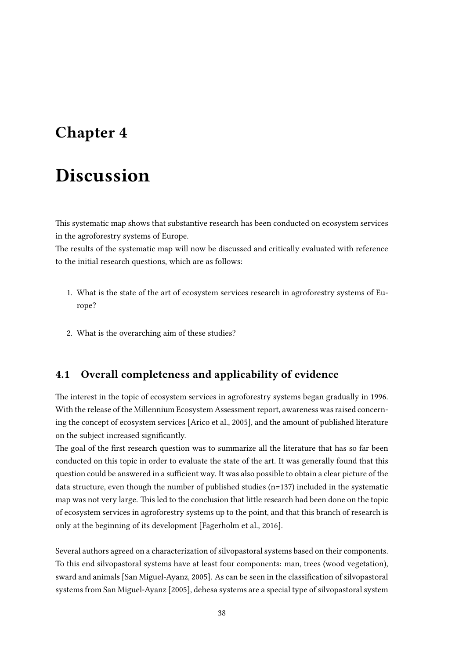# Chapter 4

# Discussion

This systematic map shows that substantive research has been conducted on ecosystem services in the agroforestry systems of Europe.

The results of the systematic map will now be discussed and critically evaluated with reference to the initial research questions, which are as follows:

- 1. What is the state of the art of ecosystem services research in agroforestry systems of Europe?
- 2. What is the overarching aim of these studies?

# 4.1 Overall completeness and applicability of evidence

The interest in the topic of ecosystem services in agroforestry systems began gradually in 1996. With the release of the Millennium Ecosystem Assessment report, awareness was raised concerning the concept of ecosystem services [\[Arico et al., 2005\]](#page-52-0), and the amount of published literature on the subject increased signicantly.

The goal of the first research question was to summarize all the literature that has so far been conducted on this topic in order to evaluate the state of the art. It was generally found that this question could be answered in a sufficient way. It was also possible to obtain a clear picture of the data structure, even though the number of published studies (n=137) included in the systematic map was not very large. This led to the conclusion that little research had been done on the topic of ecosystem services in agroforestry systems up to the point, and that this branch of research is only at the beginning of its development [\[Fagerholm et al., 2016\]](#page-53-0).

Several authors agreed on a characterization of silvopastoral systems based on their components. To this end silvopastoral systems have at least four components: man, trees (wood vegetation), sward and animals [\[San Miguel-Ayanz, 2005\]](#page-56-0). As can be seen in the classification of silvopastoral systems from [San Miguel-Ayanz](#page-56-0) [\[2005\]](#page-56-0), dehesa systems are a special type of silvopastoral system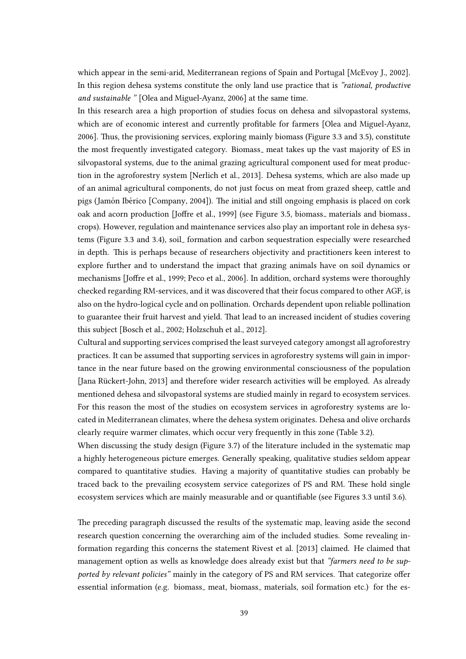which appear in the semi-arid, Mediterranean regions of Spain and Portugal [\[McEvoy J., 2002\]](#page-55-1). In this region dehesa systems constitute the only land use practice that is "rational, productive and sustainable " [\[Olea and Miguel-Ayanz, 2006\]](#page-55-2) at the same time.

In this research area a high proportion of studies focus on dehesa and silvopastoral systems, which are of economic interest and currently profitable for farmers [\[Olea and Miguel-Ayanz,](#page-55-2) [2006\]](#page-55-2). Thus, the provisioning services, exploring mainly biomass (Figure 3.3 and 3.5), constitute the most frequently investigated category. Biomass\_ meat takes up the vast majority of ES in silvopastoral systems, due to the animal grazing agricultural component used for meat production in the agroforestry system [\[Nerlich et al., 2013\]](#page-55-3). Dehesa systems, which are also made up of an animal agricultural components, do not just focus on meat from grazed sheep, cattle and pigs (Jamón Ibérico [\[Company, 2004\]](#page-53-1)). The initial and still ongoing emphasis is placed on cork oak and acorn production [Joffre et al., 1999] (see Figure 3.5, biomass\_ materials and biomass\_ crops). However, regulation and maintenance services also play an important role in dehesa systems (Figure 3.3 and 3.4), soil\_formation and carbon sequestration especially were researched in depth. This is perhaps because of researchers objectivity and practitioners keen interest to explore further and to understand the impact that grazing animals have on soil dynamics or mechanisms [Joffre et al., 1999; [Peco et al., 2006\]](#page-55-4). In addition, orchard systems were thoroughly checked regarding RM-services, and it was discovered that their focus compared to other AGF, is also on the hydro-logical cycle and on pollination. Orchards dependent upon reliable pollination to guarantee their fruit harvest and yield. That lead to an increased incident of studies covering this subject [\[Bosch et al., 2002;](#page-52-1) [Holzschuh et al., 2012\]](#page-54-1).

Cultural and supporting services comprised the least surveyed category amongst all agroforestry practices. It can be assumed that supporting services in agroforestry systems will gain in importance in the near future based on the growing environmental consciousness of the population [Jana Rückert-John, 2013] and therefore wider research activities will be employed. As already mentioned dehesa and silvopastoral systems are studied mainly in regard to ecosystem services. For this reason the most of the studies on ecosystem services in agroforestry systems are located in Mediterranean climates, where the dehesa system originates. Dehesa and olive orchards clearly require warmer climates, which occur very frequently in this zone (Table 3.2).

When discussing the study design (Figure 3.7) of the literature included in the systematic map a highly heterogeneous picture emerges. Generally speaking, qualitative studies seldom appear compared to quantitative studies. Having a majority of quantitative studies can probably be traced back to the prevailing ecosystem service categorizes of PS and RM. These hold single ecosystem services which are mainly measurable and or quantifiable (see Figures 3.3 until 3.6).

The preceding paragraph discussed the results of the systematic map, leaving aside the second research question concerning the overarching aim of the included studies. Some revealing information regarding this concerns the statement [Rivest et al.](#page-56-1) [\[2013\]](#page-56-1) claimed. He claimed that management option as wells as knowledge does already exist but that "farmers need to be supported by relevant policies" mainly in the category of PS and RM services. That categorize offer essential information (e.g. biomass\_meat, biomass\_materials, soil formation etc.) for the es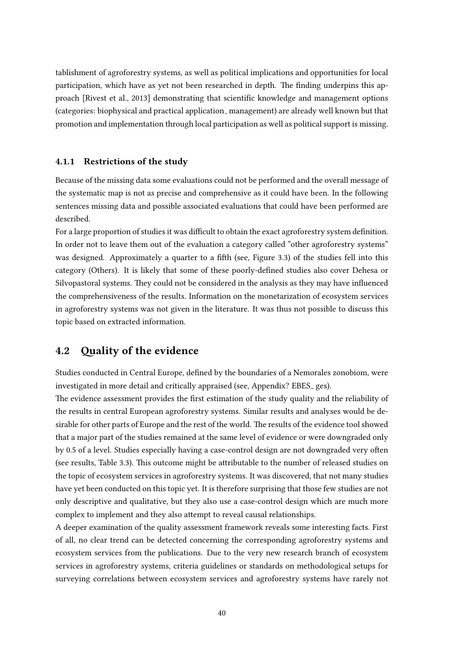tablishment of agroforestry systems, as well as political implications and opportunities for local participation, which have as yet not been researched in depth. The finding underpins this ap-proach [\[Rivest et al., 2013\]](#page-56-1) demonstrating that scientific knowledge and management options (categories: biophysical and practical application management) are already well known but that promotion and implementation through local participation as well as political support is missing.

#### 4.1.1 Restrictions of the study

Because of the missing data some evaluations could not be performed and the overall message of the systematic map is not as precise and comprehensive as it could have been. In the following sentences missing data and possible associated evaluations that could have been performed are described.

For a large proportion of studies it was difficult to obtain the exact agroforestry system definition. In order not to leave them out of the evaluation a category called "other agroforestry systems" was designed. Approximately a quarter to a fifth (see, Figure 3.3) of the studies fell into this category (Others). It is likely that some of these poorly-dened studies also cover Dehesa or Silvopastoral systems. They could not be considered in the analysis as they may have influenced the comprehensiveness of the results. Information on the monetarization of ecosystem services in agroforestry systems was not given in the literature. It was thus not possible to discuss this topic based on extracted information.

### 4.2 Quality of the evidence

Studies conducted in Central Europe, defined by the boundaries of a Nemorales zonobiom, were investigated in more detail and critically appraised (see, Appendix? EBES<sub>-ges</sub>).

The evidence assessment provides the first estimation of the study quality and the reliability of the results in central European agroforestry systems. Similar results and analyses would be desirable for other parts of Europe and the rest of the world. The results of the evidence tool showed that a major part of the studies remained at the same level of evidence or were downgraded only by 0.5 of a level. Studies especially having a case-control design are not downgraded very often (see results, Table 3.3). This outcome might be attributable to the number of released studies on the topic of ecosystem services in agroforestry systems. It was discovered, that not many studies have yet been conducted on this topic yet. It is therefore surprising that those few studies are not only descriptive and qualitative, but they also use a case-control design which are much more complex to implement and they also attempt to reveal causal relationships.

A deeper examination of the quality assessment framework reveals some interesting facts. First of all, no clear trend can be detected concerning the corresponding agroforestry systems and ecosystem services from the publications. Due to the very new research branch of ecosystem services in agroforestry systems, criteria guidelines or standards on methodological setups for surveying correlations between ecosystem services and agroforestry systems have rarely not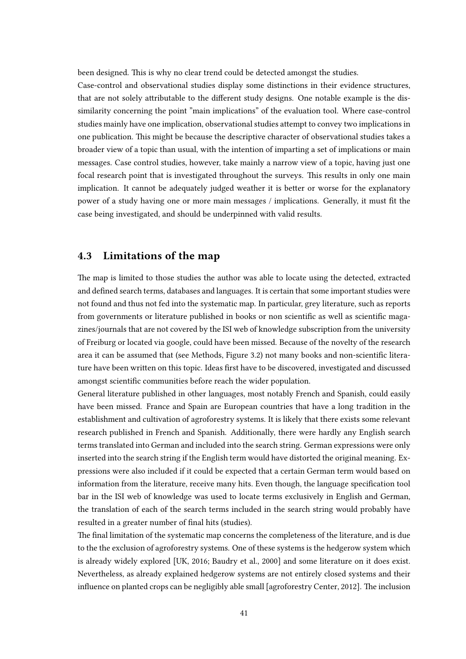been designed. This is why no clear trend could be detected amongst the studies.

Case-control and observational studies display some distinctions in their evidence structures, that are not solely attributable to the different study designs. One notable example is the dissimilarity concerning the point "main implications" of the evaluation tool. Where case-control studies mainly have one implication, observational studies attempt to convey two implications in one publication. This might be because the descriptive character of observational studies takes a broader view of a topic than usual, with the intention of imparting a set of implications or main messages. Case control studies, however, take mainly a narrow view of a topic, having just one focal research point that is investigated throughout the surveys. This results in only one main implication. It cannot be adequately judged weather it is better or worse for the explanatory power of a study having one or more main messages / implications. Generally, it must fit the case being investigated, and should be underpinned with valid results.

# 4.3 Limitations of the map

The map is limited to those studies the author was able to locate using the detected, extracted and defined search terms, databases and languages. It is certain that some important studies were not found and thus not fed into the systematic map. In particular, grey literature, such as reports from governments or literature published in books or non scientific as well as scientific magazines/journals that are not covered by the ISI web of knowledge subscription from the university of Freiburg or located via google, could have been missed. Because of the novelty of the research area it can be assumed that (see Methods, Figure 3.2) not many books and non-scientific literature have been written on this topic. Ideas first have to be discovered, investigated and discussed amongst scientific communities before reach the wider population.

General literature published in other languages, most notably French and Spanish, could easily have been missed. France and Spain are European countries that have a long tradition in the establishment and cultivation of agroforestry systems. It is likely that there exists some relevant research published in French and Spanish. Additionally, there were hardly any English search terms translated into German and included into the search string. German expressions were only inserted into the search string if the English term would have distorted the original meaning. Expressions were also included if it could be expected that a certain German term would based on information from the literature, receive many hits. Even though, the language specification tool bar in the ISI web of knowledge was used to locate terms exclusively in English and German, the translation of each of the search terms included in the search string would probably have resulted in a greater number of final hits (studies).

The final limitation of the systematic map concerns the completeness of the literature, and is due to the the exclusion of agroforestry systems. One of these systems is the hedgerow system which is already widely explored [\[UK, 2016;](#page-57-0) [Baudry et al., 2000\]](#page-52-2) and some literature on it does exist. Nevertheless, as already explained hedgerow systems are not entirely closed systems and their influence on planted crops can be negligibly able small [\[agroforestry Center, 2012\]](#page-52-3). The inclusion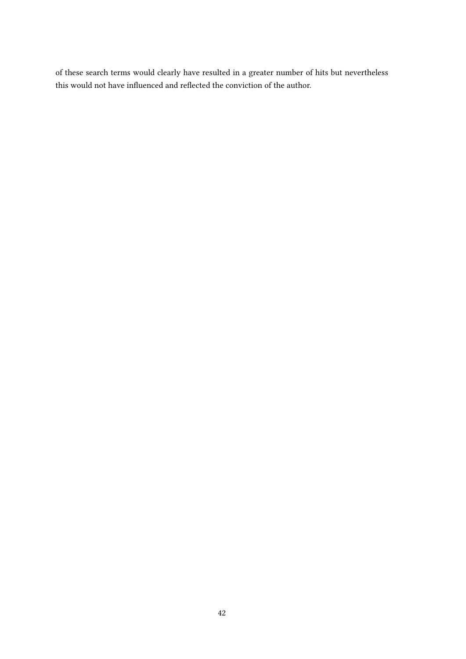of these search terms would clearly have resulted in a greater number of hits but nevertheless this would not have influenced and reflected the conviction of the author.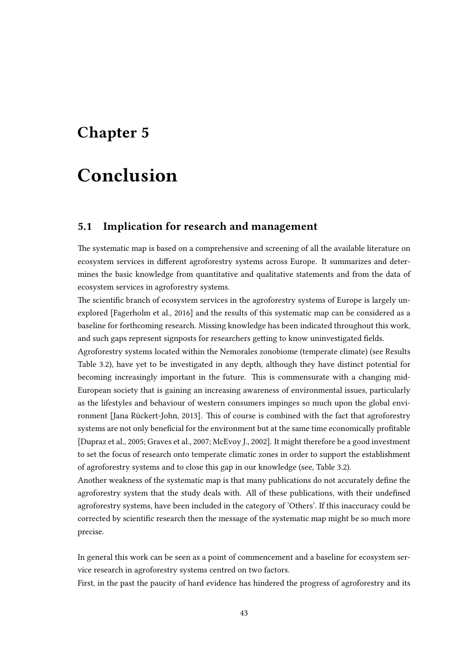# Chapter 5

# Conclusion

### 5.1 Implication for research and management

The systematic map is based on a comprehensive and screening of all the available literature on ecosystem services in different agroforestry systems across Europe. It summarizes and determines the basic knowledge from quantitative and qualitative statements and from the data of ecosystem services in agroforestry systems.

The scientific branch of ecosystem services in the agroforestry systems of Europe is largely unexplored [\[Fagerholm et al., 2016\]](#page-53-0) and the results of this systematic map can be considered as a baseline for forthcoming research. Missing knowledge has been indicated throughout this work, and such gaps represent signposts for researchers getting to know uninvestigated fields.

Agroforestry systems located within the Nemorales zonobiome (temperate climate) (see Results Table 3.2), have yet to be investigated in any depth, although they have distinct potential for becoming increasingly important in the future. This is commensurate with a changing mid-European society that is gaining an increasing awareness of environmental issues, particularly as the lifestyles and behaviour of western consumers impinges so much upon the global environment [Jana Rückert-John, 2013]. This of course is combined with the fact that agroforestry systems are not only beneficial for the environment but at the same time economically profitable [\[Dupraz et al., 2005;](#page-53-2) [Graves et al., 2007;](#page-54-3) [McEvoy J., 2002\]](#page-55-1). It might therefore be a good investment to set the focus of research onto temperate climatic zones in order to support the establishment of agroforestry systems and to close this gap in our knowledge (see, Table 3.2).

Another weakness of the systematic map is that many publications do not accurately define the agroforestry system that the study deals with. All of these publications, with their undefined agroforestry systems, have been included in the category of 'Others'. If this inaccuracy could be corrected by scientific research then the message of the systematic map might be so much more precise.

In general this work can be seen as a point of commencement and a baseline for ecosystem service research in agroforestry systems centred on two factors.

First, in the past the paucity of hard evidence has hindered the progress of agroforestry and its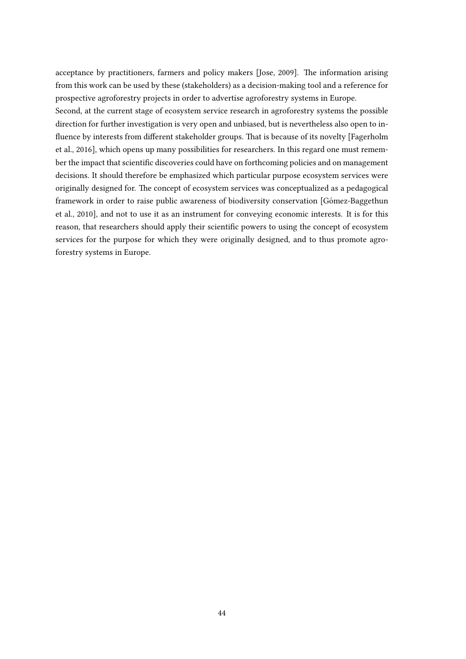acceptance by practitioners, farmers and policy makers [\[Jose, 2009\]](#page-54-4). The information arising from this work can be used by these (stakeholders) as a decision-making tool and a reference for prospective agroforestry projects in order to advertise agroforestry systems in Europe. Second, at the current stage of ecosystem service research in agroforestry systems the possible

direction for further investigation is very open and unbiased, but is nevertheless also open to in- fluence by interests from different stakeholder groups. That is because of its novelty [\[Fagerholm](#page-53-0)] [et al., 2016\]](#page-53-0), which opens up many possibilities for researchers. In this regard one must remember the impact that scientific discoveries could have on forthcoming policies and on management decisions. It should therefore be emphasized which particular purpose ecosystem services were originally designed for. The concept of ecosystem services was conceptualized as a pedagogical framework in order to raise public awareness of biodiversity conservation [Gómez-Baggethun] [et al., 2010\]](#page-54-5), and not to use it as an instrument for conveying economic interests. It is for this reason, that researchers should apply their scientific powers to using the concept of ecosystem services for the purpose for which they were originally designed, and to thus promote agroforestry systems in Europe.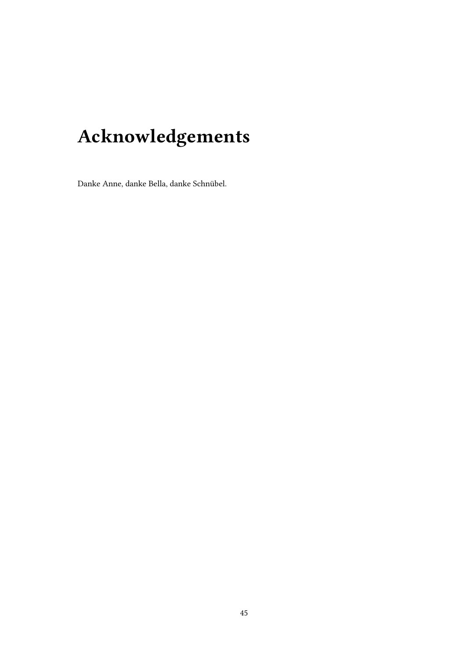# Acknowledgements

Danke Anne, danke Bella, danke Schnübel.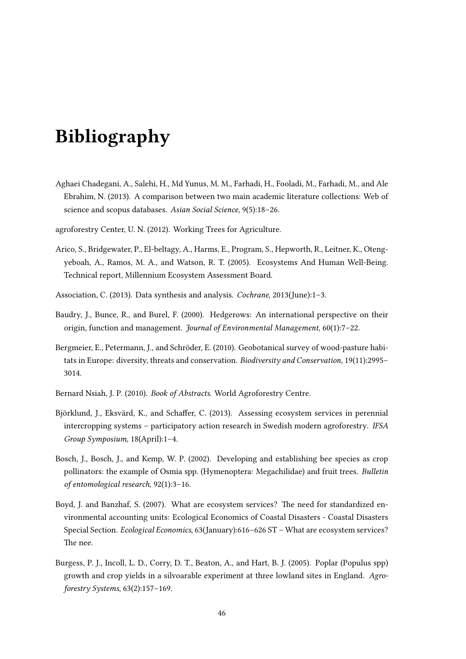# Bibliography

Aghaei Chadegani, A., Salehi, H., Md Yunus, M. M., Farhadi, H., Fooladi, M., Farhadi, M., and Ale Ebrahim, N. (2013). A comparison between two main academic literature collections: Web of science and scopus databases. Asian Social Science, 9(5):18–26.

<span id="page-52-3"></span>agroforestry Center, U. N. (2012). Working Trees for Agriculture.

- <span id="page-52-0"></span>Arico, S., Bridgewater, P., El-beltagy, A., Harms, E., Program, S., Hepworth, R., Leitner, K., Otengyeboah, A., Ramos, M. A., and Watson, R. T. (2005). Ecosystems And Human Well-Being. Technical report, Millennium Ecosystem Assessment Board.
- Association, C. (2013). Data synthesis and analysis. Cochrane, 2013(June):1–3.
- <span id="page-52-2"></span>Baudry, J., Bunce, R., and Burel, F. (2000). Hedgerows: An international perspective on their origin, function and management. Journal of Environmental Management, 60(1):7-22.
- Bergmeier, E., Petermann, J., and Schröder, E. (2010). Geobotanical survey of wood-pasture habitats in Europe: diversity, threats and conservation. Biodiversity and Conservation, 19(11):2995– 3014.
- <span id="page-52-4"></span>Bernard Nsiah, J. P. (2010). Book of Abstracts. World Agroforestry Centre.
- Björklund, J., Eksvärd, K., and Schaffer, C. (2013). Assessing ecosystem services in perennial intercropping systems – participatory action research in Swedish modern agroforestry. IFSA Group Symposium, 18(April):1–4.
- <span id="page-52-1"></span>Bosch, J., Bosch, J., and Kemp, W. P. (2002). Developing and establishing bee species as crop pollinators: the example of Osmia spp. (Hymenoptera: Megachilidae) and fruit trees. Bulletin of entomological research, 92(1):3–16.
- Boyd, J. and Banzhaf, S. (2007). What are ecosystem services? The need for standardized environmental accounting units: Ecological Economics of Coastal Disasters - Coastal Disasters Special Section. Ecological Economics, 63(January):616–626 ST – What are ecosystem services? The nee.
- Burgess, P. J., Incoll, L. D., Corry, D. T., Beaton, A., and Hart, B. J. (2005). Poplar (Populus spp) growth and crop yields in a silvoarable experiment at three lowland sites in England. Agroforestry Systems, 63(2):157–169.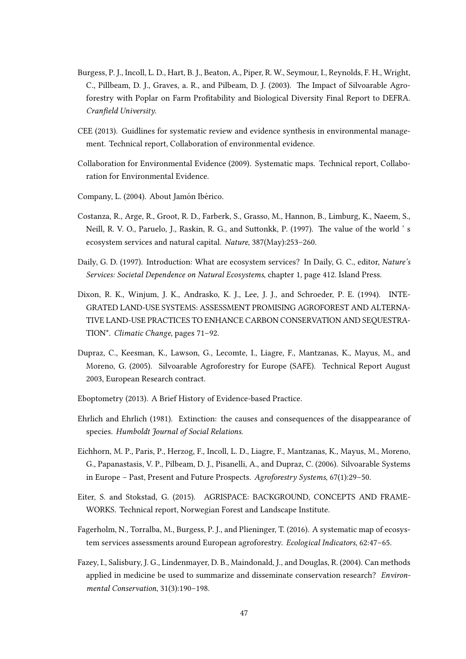- Burgess, P. J., Incoll, L. D., Hart, B. J., Beaton, A., Piper, R. W., Seymour, I., Reynolds, F. H., Wright, C., Pillbeam, D. J., Graves, a. R., and Pilbeam, D. J. (2003). The Impact of Silvoarable Agroforestry with Poplar on Farm Profitability and Biological Diversity Final Report to DEFRA. Cranfield University.
- CEE (2013). Guidlines for systematic review and evidence synthesis in environmental management. Technical report, Collaboration of environmental evidence.
- Collaboration for Environmental Evidence (2009). Systematic maps. Technical report, Collaboration for Environmental Evidence.
- <span id="page-53-1"></span>Company, L. (2004). About Jamón Ibérico.
- Costanza, R., Arge, R., Groot, R. D., Farberk, S., Grasso, M., Hannon, B., Limburg, K., Naeem, S., Neill, R. V. O., Paruelo, J., Raskin, R. G., and Suttonkk, P. (1997). The value of the world 's ecosystem services and natural capital. Nature, 387(May):253–260.
- <span id="page-53-3"></span>Daily, G. D. (1997). Introduction: What are ecosystem services? In Daily, G. C., editor, Nature's Services: Societal Dependence on Natural Ecosystems, chapter 1, page 412. Island Press.
- <span id="page-53-5"></span>Dixon, R. K., Winjum, J. K., Andrasko, K. J., Lee, J. J., and Schroeder, P. E. (1994). INTE-GRATED LAND-USE SYSTEMS: ASSESSMENT PROMISING AGROFOREST AND ALTERNA-TIVE LAND-USE PRACTICES TO ENHANCE CARBON CONSERVATION AND SEQUESTRA-TION\*. Climatic Change, pages 71–92.
- <span id="page-53-2"></span>Dupraz, C., Keesman, K., Lawson, G., Lecomte, I., Liagre, F., Mantzanas, K., Mayus, M., and Moreno, G. (2005). Silvoarable Agroforestry for Europe (SAFE). Technical Report August 2003, European Research contract.
- Eboptometry (2013). A Brief History of Evidence-based Practice.
- Ehrlich and Ehrlich (1981). Extinction: the causes and consequences of the disappearance of species. Humboldt Journal of Social Relations.
- <span id="page-53-4"></span>Eichhorn, M. P., Paris, P., Herzog, F., Incoll, L. D., Liagre, F., Mantzanas, K., Mayus, M., Moreno, G., Papanastasis, V. P., Pilbeam, D. J., Pisanelli, A., and Dupraz, C. (2006). Silvoarable Systems in Europe – Past, Present and Future Prospects. Agroforestry Systems, 67(1):29–50.
- Eiter, S. and Stokstad, G. (2015). AGRISPACE: BACKGROUND, CONCEPTS AND FRAME-WORKS. Technical report, Norwegian Forest and Landscape Institute.
- <span id="page-53-0"></span>Fagerholm, N., Torralba, M., Burgess, P. J., and Plieninger, T. (2016). A systematic map of ecosystem services assessments around European agroforestry. Ecological Indicators, 62:47–65.
- Fazey, I., Salisbury, J. G., Lindenmayer, D. B., Maindonald, J., and Douglas, R. (2004). Can methods applied in medicine be used to summarize and disseminate conservation research? Environmental Conservation, 31(3):190–198.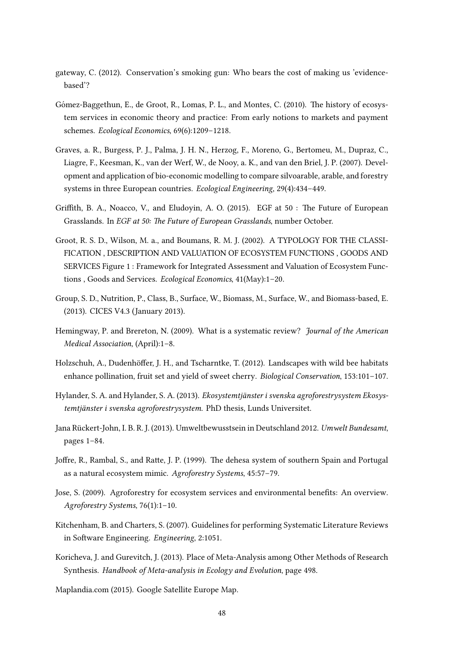- gateway, C. (2012). Conservation's smoking gun: Who bears the cost of making us 'evidencebased'?
- <span id="page-54-5"></span>Gómez-Baggethun, E., de Groot, R., Lomas, P. L., and Montes, C. (2010). The history of ecosystem services in economic theory and practice: From early notions to markets and payment schemes. Ecological Economics, 69(6):1209–1218.
- <span id="page-54-3"></span>Graves, a. R., Burgess, P. J., Palma, J. H. N., Herzog, F., Moreno, G., Bertomeu, M., Dupraz, C., Liagre, F., Keesman, K., van der Werf, W., de Nooy, a. K., and van den Briel, J. P. (2007). Development and application of bio-economic modelling to compare silvoarable, arable, and forestry systems in three European countries. Ecological Engineering, 29(4):434–449.
- <span id="page-54-8"></span>Griffith, B. A., Noacco, V., and Eludoyin, A. O. (2015). EGF at  $50:$  The Future of European Grasslands. In EGF at 50: The Future of European Grasslands, number October.
- Groot, R. S. D., Wilson, M. a., and Boumans, R. M. J. (2002). A TYPOLOGY FOR THE CLASSI-FICATION , DESCRIPTION AND VALUATION OF ECOSYSTEM FUNCTIONS , GOODS AND SERVICES Figure 1 : Framework for Integrated Assessment and Valuation of Ecosystem Functions , Goods and Services. Ecological Economics, 41(May):1–20.
- <span id="page-54-6"></span>Group, S. D., Nutrition, P., Class, B., Surface, W., Biomass, M., Surface, W., and Biomass-based, E. (2013). CICES V4.3 (January 2013).
- Hemingway, P. and Brereton, N. (2009). What is a systematic review? *Journal of the American* Medical Association, (April):1–8.
- <span id="page-54-1"></span>Holzschuh, A., Dudenhöffer, J. H., and Tscharntke, T. (2012). Landscapes with wild bee habitats enhance pollination, fruit set and yield of sweet cherry. Biological Conservation, 153:101–107.
- <span id="page-54-7"></span>Hylander, S. A. and Hylander, S. A. (2013). Ekosystemtjanster i svenska agroforestrysystem Ekosys- ¨ temtjänster i svenska agroforestrysystem. PhD thesis, Lunds Universitet.
- <span id="page-54-2"></span>Jana Rückert-John, I. B. R. J. (2013). Umweltbewusstsein in Deutschland 2012. Umwelt Bundesamt, pages 1–84.
- <span id="page-54-0"></span>Joffre, R., Rambal, S., and Ratte, J. P. (1999). The dehesa system of southern Spain and Portugal as a natural ecosystem mimic. Agroforestry Systems, 45:57–79.
- <span id="page-54-4"></span>Jose, S. (2009). Agroforestry for ecosystem services and environmental benefits: An overview. Agroforestry Systems, 76(1):1–10.
- Kitchenham, B. and Charters, S. (2007). Guidelines for performing Systematic Literature Reviews in Software Engineering. Engineering, 2:1051.
- Koricheva, J. and Gurevitch, J. (2013). Place of Meta-Analysis among Other Methods of Research Synthesis. Handbook of Meta-analysis in Ecology and Evolution, page 498.

Maplandia.com (2015). Google Satellite Europe Map.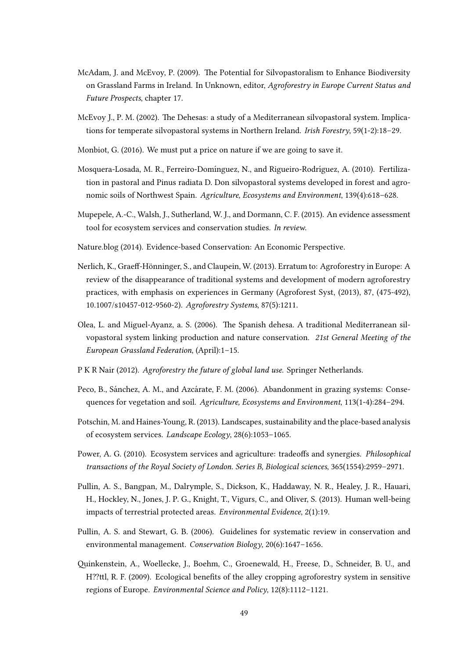- <span id="page-55-7"></span>McAdam, J. and McEvoy, P. (2009). The Potential for Silvopastoralism to Enhance Biodiversity on Grassland Farms in Ireland. In Unknown, editor, Agroforestry in Europe Current Status and Future Prospects, chapter 17.
- <span id="page-55-1"></span>McEvoy J., P. M. (2002). The Dehesas: a study of a Mediterranean silvopastoral system. Implications for temperate silvopastoral systems in Northern Ireland. Irish Forestry, 59(1-2):18–29.
- Monbiot, G. (2016). We must put a price on nature if we are going to save it.
- <span id="page-55-5"></span>Mosquera-Losada, M. R., Ferreiro-Domínguez, N., and Rigueiro-Rodríguez, A. (2010). Fertilization in pastoral and Pinus radiata D. Don silvopastoral systems developed in forest and agronomic soils of Northwest Spain. Agriculture, Ecosystems and Environment, 139(4):618–628.
- <span id="page-55-0"></span>Mupepele, A.-C., Walsh, J., Sutherland, W. J., and Dormann, C. F. (2015). An evidence assessment tool for ecosystem services and conservation studies. In review.
- Nature.blog (2014). Evidence-based Conservation: An Economic Perspective.
- <span id="page-55-3"></span>Nerlich, K., Graeff-Hönninger, S., and Claupein, W. (2013). Erratum to: Agroforestry in Europe: A review of the disappearance of traditional systems and development of modern agroforestry practices, with emphasis on experiences in Germany (Agroforest Syst, (2013), 87, (475-492), 10.1007/s10457-012-9560-2). Agroforestry Systems, 87(5):1211.
- <span id="page-55-2"></span>Olea, L. and Miguel-Ayanz, a. S. (2006). The Spanish dehesa. A traditional Mediterranean silvopastoral system linking production and nature conservation. 21st General Meeting of the European Grassland Federation, (April):1–15.
- <span id="page-55-8"></span>P K R Nair (2012). Agroforestry the future of global land use. Springer Netherlands.
- <span id="page-55-4"></span>Peco, B., Sánchez, A. M., and Azcárate, F. M. (2006). Abandonment in grazing systems: Consequences for vegetation and soil. Agriculture, Ecosystems and Environment, 113(1-4):284–294.
- Potschin, M. and Haines-Young, R. (2013). Landscapes, sustainability and the place-based analysis of ecosystem services. Landscape Ecology, 28(6):1053–1065.
- <span id="page-55-6"></span>Power, A. G. (2010). Ecosystem services and agriculture: tradeoffs and synergies. *Philosophical* transactions of the Royal Society of London. Series B, Biological sciences, 365(1554):2959–2971.
- Pullin, A. S., Bangpan, M., Dalrymple, S., Dickson, K., Haddaway, N. R., Healey, J. R., Hauari, H., Hockley, N., Jones, J. P. G., Knight, T., Vigurs, C., and Oliver, S. (2013). Human well-being impacts of terrestrial protected areas. Environmental Evidence, 2(1):19.
- Pullin, A. S. and Stewart, G. B. (2006). Guidelines for systematic review in conservation and environmental management. Conservation Biology, 20(6):1647–1656.
- <span id="page-55-9"></span>inkenstein, A., Woellecke, J., Boehm, C., Groenewald, H., Freese, D., Schneider, B. U., and H??ttl, R. F. (2009). Ecological benefits of the alley cropping agroforestry system in sensitive regions of Europe. Environmental Science and Policy, 12(8):1112–1121.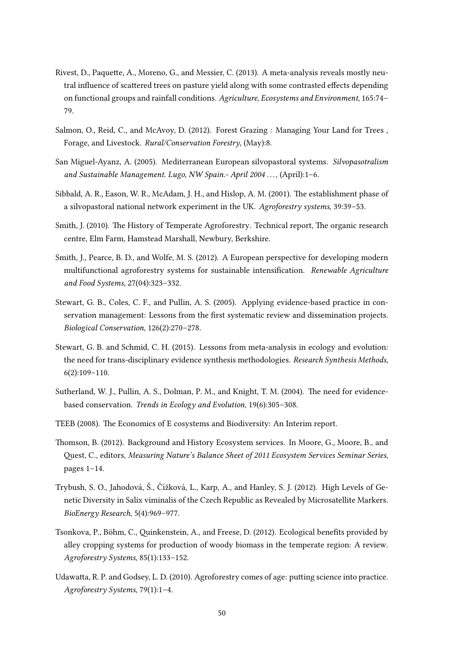- <span id="page-56-1"></span>Rivest, D., Paquette, A., Moreno, G., and Messier, C. (2013). A meta-analysis reveals mostly neutral influence of scattered trees on pasture yield along with some contrasted effects depending on functional groups and rainfall conditions. Agriculture, Ecosystems and Environment, 165:74– 79.
- Salmon, O., Reid, C., and McAvoy, D. (2012). Forest Grazing : Managing Your Land for Trees , Forage, and Livestock. Rural/Conservation Forestry, (May):8.
- <span id="page-56-0"></span>San Miguel-Ayanz, A. (2005). Mediterranean European silvopastoral systems. Silvopasotralism and Sustainable Management. Lugo, NW Spain.- April 2004 . . . , (April):1–6.
- Sibbald, A. R., Eason, W. R., McAdam, J. H., and Hislop, A. M. (2001). The establishment phase of a silvopastoral national network experiment in the UK. Agroforestry systems, 39:39–53.
- <span id="page-56-5"></span>Smith, J. (2010). The History of Temperate Agroforestry. Technical report, The organic research centre, Elm Farm, Hamstead Marshall, Newbury, Berkshire.
- <span id="page-56-4"></span>Smith, J., Pearce, B. D., and Wolfe, M. S. (2012). A European perspective for developing modern multifunctional agroforestry systems for sustainable intensification. Renewable Agriculture and Food Systems, 27(04):323–332.
- Stewart, G. B., Coles, C. F., and Pullin, A. S. (2005). Applying evidence-based practice in conservation management: Lessons from the first systematic review and dissemination projects. Biological Conservation, 126(2):270–278.
- Stewart, G. B. and Schmid, C. H. (2015). Lessons from meta-analysis in ecology and evolution: the need for trans-disciplinary evidence synthesis methodologies. Research Synthesis Methods, 6(2):109–110.
- Sutherland, W. J., Pullin, A. S., Dolman, P. M., and Knight, T. M. (2004). The need for evidencebased conservation. Trends in Ecology and Evolution, 19(6):305–308.
- TEEB (2008). The Economics of E cosystems and Biodiversity: An Interim report.
- <span id="page-56-2"></span>Thomson, B. (2012). Background and History Ecosystem services. In Moore, G., Moore, B., and Quest, C., editors, Measuring Nature's Balance Sheet of 2011 Ecosystem Services Seminar Series, pages 1–14.
- Trybush, S. O., Jahodová, Š., Čížková, L., Karp, A., and Hanley, S. J. (2012). High Levels of Genetic Diversity in Salix viminalis of the Czech Republic as Revealed by Microsatellite Markers. BioEnergy Research, 5(4):969–977.
- Tsonkova, P., Böhm, C., Quinkenstein, A., and Freese, D. (2012). Ecological benefits provided by alley cropping systems for production of woody biomass in the temperate region: A review. Agroforestry Systems, 85(1):133–152.
- <span id="page-56-3"></span>Udawatta, R. P. and Godsey, L. D. (2010). Agroforestry comes of age: putting science into practice. Agroforestry Systems, 79(1):1–4.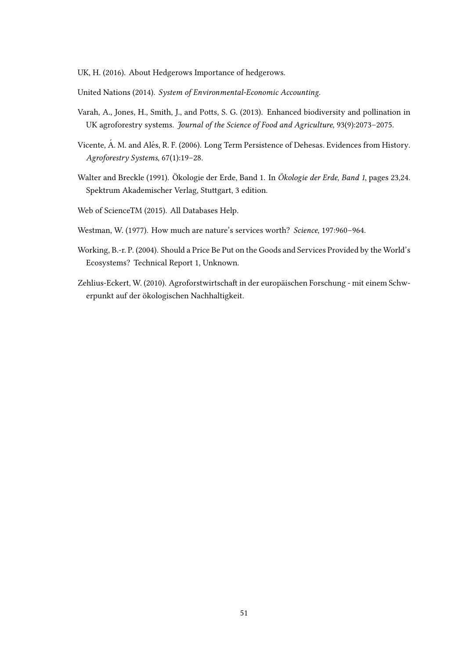<span id="page-57-0"></span>UK, H. (2016). About Hedgerows Importance of hedgerows.

United Nations (2014). System of Environmental-Economic Accounting.

- Varah, A., Jones, H., Smith, J., and Potts, S. G. (2013). Enhanced biodiversity and pollination in UK agroforestry systems. Journal of the Science of Food and Agriculture, 93(9):2073–2075.
- Vicente, Á. M. and Alés, R. F. (2006). Long Term Persistence of Dehesas. Evidences from History. Agroforestry Systems, 67(1):19–28.
- Walter and Breckle (1991). Ökologie der Erde, Band 1. In Ökologie der Erde, Band 1, pages 23,24. Spektrum Akademischer Verlag, Stuttgart, 3 edition.

Web of ScienceTM (2015). All Databases Help.

- Westman, W. (1977). How much are nature's services worth? Science, 197:960–964.
- <span id="page-57-1"></span>Working, B.-r. P. (2004). Should a Price Be Put on the Goods and Services Provided by the World's Ecosystems? Technical Report 1, Unknown.
- <span id="page-57-2"></span>Zehlius-Eckert, W. (2010). Agroforstwirtschaft in der europäischen Forschung - mit einem Schwerpunkt auf der ökologischen Nachhaltigkeit.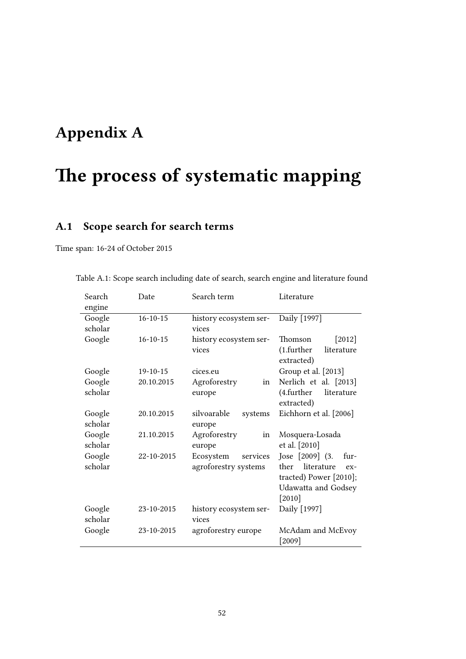# Appendix A

# The process of systematic mapping

# A.1 Scope search for search terms

Time span: 16-24 of October 2015

| Search            | Date           | Search term                      | Literature                              |  |  |
|-------------------|----------------|----------------------------------|-----------------------------------------|--|--|
| engine            |                |                                  |                                         |  |  |
| Google            | $16 - 10 - 15$ | history ecosystem ser-           | Daily [1997]                            |  |  |
| scholar           |                | vices                            |                                         |  |  |
| Google            | $16 - 10 - 15$ | history ecosystem ser-           | Thomson<br>$[2012]$                     |  |  |
|                   |                | vices                            | (1.further<br>literature<br>extracted)  |  |  |
| Google            | $19-10-15$     | cices.eu                         | Group et al. [2013]                     |  |  |
| Google            | 20.10.2015     | Agroforestry<br>in               | Nerlich et al. [2013]                   |  |  |
| scholar           |                | europe                           | (4.further)<br>literature<br>extracted) |  |  |
| Google<br>scholar | 20.10.2015     | silvoarable<br>systems<br>europe | Eichhorn et al. [2006]                  |  |  |
| Google<br>scholar | 21.10.2015     | Agroforestry<br>in<br>europe     | Mosquera-Losada<br>et al. [2010]        |  |  |
| Google            | 22-10-2015     | Ecosystem<br>services            | Jose [2009] (3.<br>fur-                 |  |  |
| scholar           |                | agroforestry systems             | literature<br>ther<br>$ex-$             |  |  |
|                   |                |                                  | tracted) Power [2010];                  |  |  |
|                   |                |                                  | Udawatta and Godsey                     |  |  |
|                   |                |                                  | $[2010]$                                |  |  |
| Google<br>scholar | 23-10-2015     | history ecosystem ser-           | Daily [1997]                            |  |  |
|                   |                | vices                            |                                         |  |  |
| Google            | 23-10-2015     | agroforestry europe              | McAdam and McEvoy<br>$[2009]$           |  |  |

Table A.1: Scope search including date of search, search engine and literature found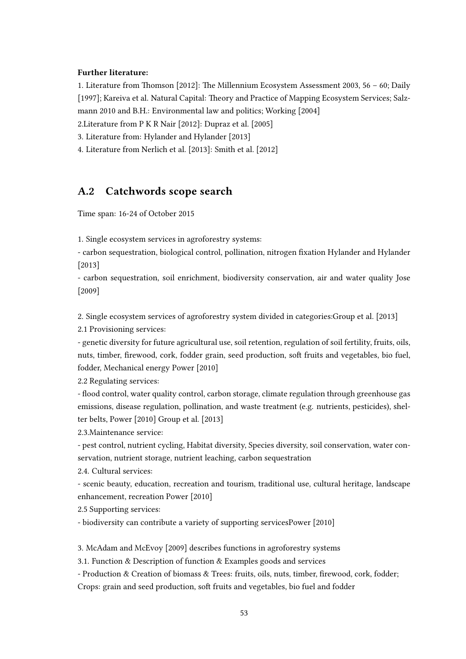#### Further literature:

1. Literature from Thomson [\[2012\]](#page-56-2): The Millennium Ecosystem Assessment 2003, 56 – 60; [Daily](#page-53-3) [\[1997\]](#page-53-3); Kareiva et al. Natural Capital: Theory and Practice of Mapping Ecosystem Services; Salzmann 2010 and B.H.: Environmental law and politics; [Working](#page-57-1) [\[2004\]](#page-57-1)

2.Literature from [P K R Nair](#page-55-8) [\[2012\]](#page-55-8): [Dupraz et al.](#page-53-2) [\[2005\]](#page-53-2)

3. Literature from: [Hylander and Hylander](#page-54-7) [\[2013\]](#page-54-7)

4. Literature from [Nerlich et al.](#page-55-3) [\[2013\]](#page-55-3): [Smith et al.](#page-56-4) [\[2012\]](#page-56-4)

### A.2 Catchwords scope search

Time span: 16-24 of October 2015

1. Single ecosystem services in agroforestry systems:

- carbon sequestration, biological control, pollination, nitrogen fixation [Hylander and Hylander](#page-54-7) [\[2013\]](#page-54-7)

- carbon sequestration, soil enrichment, biodiversity conservation, air and water quality [Jose](#page-54-4) [\[2009\]](#page-54-4)

2. Single ecosystem services of agroforestry system divided in categories[:Group et al.](#page-54-6) [\[2013\]](#page-54-6) 2.1 Provisioning services:

- genetic diversity for future agricultural use, soil retention, regulation of soil fertility, fruits, oils, nuts, timber, firewood, cork, fodder grain, seed production, soft fruits and vegetables, bio fuel, fodder, Mechanical energy [Power](#page-55-6) [\[2010\]](#page-55-6)

2.2 Regulating services:

- flood control, water quality control, carbon storage, climate regulation through greenhouse gas emissions, disease regulation, pollination, and waste treatment (e.g. nutrients, pesticides), shelter belts, [Power](#page-55-6) [\[2010\]](#page-55-6) [Group et al.](#page-54-6) [\[2013\]](#page-54-6)

2.3.Maintenance service:

- pest control, nutrient cycling, Habitat diversity, Species diversity, soil conservation, water conservation, nutrient storage, nutrient leaching, carbon sequestration

2.4. Cultural services:

- scenic beauty, education, recreation and tourism, traditional use, cultural heritage, landscape enhancement, recreation [Power](#page-55-6) [\[2010\]](#page-55-6)

2.5 Supporting services:

- biodiversity can contribute a variety of supporting service[sPower](#page-55-6) [\[2010\]](#page-55-6)

3. [McAdam and McEvoy](#page-55-7) [\[2009\]](#page-55-7) describes functions in agroforestry systems

3.1. Function & Description of function & Examples goods and services

- Production & Creation of biomass & Trees: fruits, oils, nuts, timber, firewood, cork, fodder; Crops: grain and seed production, soft fruits and vegetables, bio fuel and fodder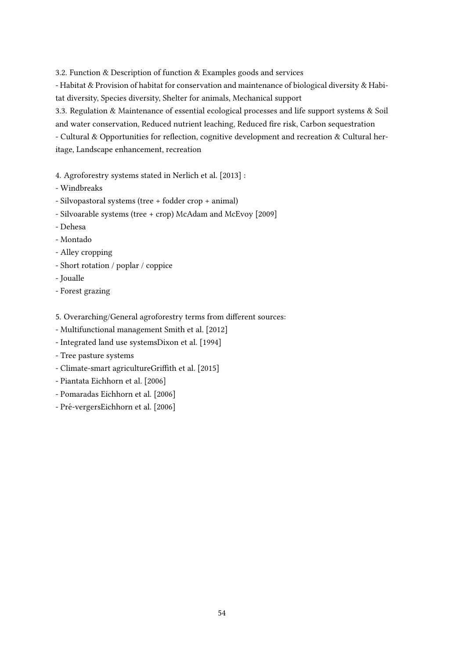3.2. Function & Description of function & Examples goods and services

- Habitat & Provision of habitat for conservation and maintenance of biological diversity & Habitat diversity, Species diversity, Shelter for animals, Mechanical support

3.3. Regulation & Maintenance of essential ecological processes and life support systems & Soil and water conservation, Reduced nutrient leaching, Reduced fire risk, Carbon sequestration - Cultural & Opportunities for reflection, cognitive development and recreation & Cultural heritage, Landscape enhancement, recreation

- 4. Agroforestry systems stated in [Nerlich et al.](#page-55-3) [\[2013\]](#page-55-3) :
- Windbreaks
- Silvopastoral systems (tree + fodder crop + animal)
- Silvoarable systems (tree + crop) [McAdam and McEvoy](#page-55-7) [\[2009\]](#page-55-7)
- Dehesa
- Montado
- Alley cropping
- Short rotation / poplar / coppice
- Joualle
- Forest grazing
- 5. Overarching/General agroforestry terms from different sources:
- Multifunctional management [Smith et al.](#page-56-4) [\[2012\]](#page-56-4)
- Integrated land use system[sDixon et al.](#page-53-5) [\[1994\]](#page-53-5)
- Tree pasture systems
- Climate-smart agricultur[eGrith et al.](#page-54-8) [\[2015\]](#page-54-8)
- Piantata [Eichhorn et al.](#page-53-4) [\[2006\]](#page-53-4)
- Pomaradas [Eichhorn et al.](#page-53-4) [\[2006\]](#page-53-4)
- Pré-verger[sEichhorn et al.](#page-53-4) [\[2006\]](#page-53-4)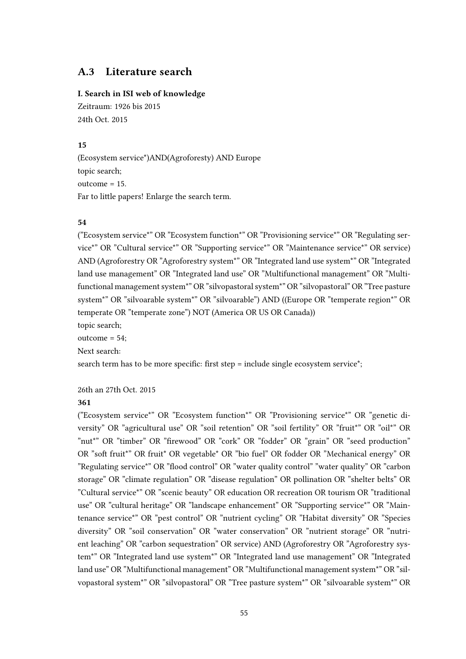## A.3 Literature search

#### I. Search in ISI web of knowledge

Zeitraum: 1926 bis 2015 24th Oct. 2015

#### 15

(Ecosystem service\*)AND(Agroforesty) AND Europe topic search; outcome = 15. Far to little papers! Enlarge the search term.

#### 54

("Ecosystem service\*" OR "Ecosystem function\*" OR "Provisioning service\*" OR "Regulating service\*" OR "Cultural service\*" OR "Supporting service\*" OR "Maintenance service\*" OR service) AND (Agroforestry OR "Agroforestry system\*" OR "Integrated land use system\*" OR "Integrated land use management" OR "Integrated land use" OR "Multifunctional management" OR "Multifunctional management system\*" OR "silvopastoral system\*" OR "silvopastoral" OR "Tree pasture system\*" OR "silvoarable system\*" OR "silvoarable") AND ((Europe OR "temperate region\*" OR temperate OR "temperate zone") NOT (America OR US OR Canada))

topic search;

outcome = 54;

Next search:

search term has to be more specific: first step = include single ecosystem service<sup>\*</sup>;

26th an 27th Oct. 2015

#### 361

("Ecosystem service\*" OR "Ecosystem function\*" OR "Provisioning service\*" OR "genetic diversity" OR "agricultural use" OR "soil retention" OR "soil fertility" OR "fruit\*" OR "oil\*" OR "nut\*" OR "timber" OR "firewood" OR "cork" OR "fodder" OR "grain" OR "seed production" OR "soft fruit\*" OR fruit\* OR vegetable\* OR "bio fuel" OR fodder OR "Mechanical energy" OR "Regulating service\*" OR "flood control" OR "water quality control" "water quality" OR "carbon storage" OR "climate regulation" OR "disease regulation" OR pollination OR "shelter belts" OR "Cultural service\*" OR "scenic beauty" OR education OR recreation OR tourism OR "traditional use" OR "cultural heritage" OR "landscape enhancement" OR "Supporting service\*" OR "Maintenance service\*" OR "pest control" OR "nutrient cycling" OR "Habitat diversity" OR "Species diversity" OR "soil conservation" OR "water conservation" OR "nutrient storage" OR "nutrient leaching" OR "carbon sequestration" OR service) AND (Agroforestry OR "Agroforestry system\*" OR "Integrated land use system\*" OR "Integrated land use management" OR "Integrated land use" OR "Multifunctional management" OR "Multifunctional management system\*" OR "silvopastoral system\*" OR "silvopastoral" OR "Tree pasture system\*" OR "silvoarable system\*" OR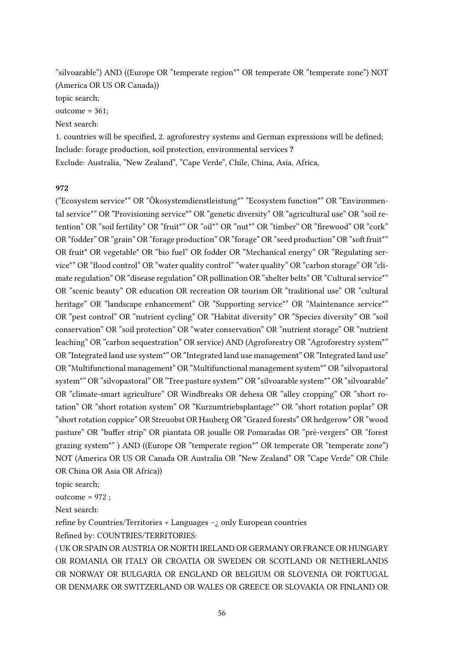"silvoarable") AND ((Europe OR "temperate region\*" OR temperate OR "temperate zone") NOT (America OR US OR Canada))

topic search;

outcome = 361;

Next search:

1. countries will be specified, 2. agroforestry systems and German expressions will be defined; Include: forage production, soil protection, environmental services ? Exclude: Australia, "New Zealand", "Cape Verde", Chile, China, Asia, Africa,

#### 972

("Ecosystem service\*" OR "Okosystemdienstleistung\*" "Ecosystem function\*" OR "Environmen- ¨ tal service\*" OR "Provisioning service\*" OR "genetic diversity" OR "agricultural use" OR "soil retention" OR "soil fertility" OR "fruit\*" OR "oil\*" OR "nut\*" OR "timber" OR "firewood" OR "cork" OR "fodder" OR "grain" OR "forage production" OR "forage" OR "seed production" OR "soft fruit\*" OR fruit\* OR vegetable\* OR "bio fuel" OR fodder OR "Mechanical energy" OR "Regulating service\*" OR "flood control" OR "water quality control" "water quality" OR "carbon storage" OR "climate regulation" OR "disease regulation" OR pollination OR "shelter belts" OR "Cultural service\*" OR "scenic beauty" OR education OR recreation OR tourism OR "traditional use" OR "cultural heritage" OR "landscape enhancement" OR "Supporting service\*" OR "Maintenance service\*" OR "pest control" OR "nutrient cycling" OR "Habitat diversity" OR "Species diversity" OR "soil conservation" OR "soil protection" OR "water conservation" OR "nutrient storage" OR "nutrient leaching" OR "carbon sequestration" OR service) AND (Agroforestry OR "Agroforestry system\*" OR "Integrated land use system\*" OR "Integrated land use management" OR "Integrated land use" OR "Multifunctional management" OR "Multifunctional management system\*" OR "silvopastoral system\*" OR "silvopastoral" OR "Tree pasture system\*" OR "silvoarable system\*" OR "silvoarable" OR "climate-smart agriculture" OR Windbreaks OR dehesa OR "alley cropping" OR "short rotation" OR "short rotation system" OR "Kurzumtriebsplantage\*" OR "short rotation poplar" OR "short rotation coppice" OR Streuobst OR Hauberg OR "Grazed forests" OR hedgerow\* OR "wood pasture" OR "buffer strip" OR piantata OR joualle OR Pomaradas OR "pré-vergers" OR "forest grazing system\*" ) AND ((Europe OR "temperate region\*" OR temperate OR "temperate zone") NOT (America OR US OR Canada OR Australia OR "New Zealand" OR "Cape Verde" OR Chile OR China OR Asia OR Africa))

topic search;

outcome = 972 ;

Next search:

refine by Countries/Territories + Languages  $-*i*$  only European countries Refined by: COUNTRIES/TERRITORIES:

( UK OR SPAIN OR AUSTRIA OR NORTH IRELAND OR GERMANY OR FRANCE OR HUNGARY OR ROMANIA OR ITALY OR CROATIA OR SWEDEN OR SCOTLAND OR NETHERLANDS OR NORWAY OR BULGARIA OR ENGLAND OR BELGIUM OR SLOVENIA OR PORTUGAL OR DENMARK OR SWITZERLAND OR WALES OR GREECE OR SLOVAKIA OR FINLAND OR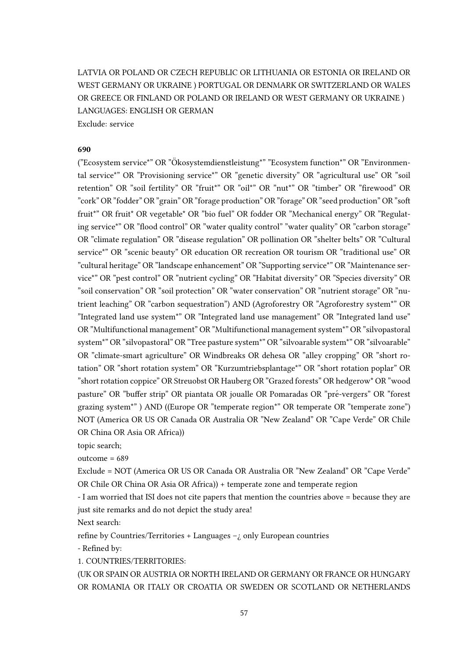LATVIA OR POLAND OR CZECH REPUBLIC OR LITHUANIA OR ESTONIA OR IRELAND OR WEST GERMANY OR UKRAINE ) PORTUGAL OR DENMARK OR SWITZERLAND OR WALES OR GREECE OR FINLAND OR POLAND OR IRELAND OR WEST GERMANY OR UKRAINE ) LANGUAGES: ENGLISH OR GERMAN Exclude: service

#### 690

("Ecosystem service\*" OR "Okosystemdienstleistung\*" "Ecosystem function\*" OR "Environmen- ¨ tal service\*" OR "Provisioning service\*" OR "genetic diversity" OR "agricultural use" OR "soil retention" OR "soil fertility" OR "fruit\*" OR "oil\*" OR "nut\*" OR "timber" OR "firewood" OR "cork" OR "fodder" OR "grain" OR "forage production" OR "forage" OR "seed production" OR "so fruit\*" OR fruit\* OR vegetable\* OR "bio fuel" OR fodder OR "Mechanical energy" OR "Regulating service\*" OR "flood control" OR "water quality control" "water quality" OR "carbon storage" OR "climate regulation" OR "disease regulation" OR pollination OR "shelter belts" OR "Cultural service\*" OR "scenic beauty" OR education OR recreation OR tourism OR "traditional use" OR "cultural heritage" OR "landscape enhancement" OR "Supporting service\*" OR "Maintenance service\*" OR "pest control" OR "nutrient cycling" OR "Habitat diversity" OR "Species diversity" OR "soil conservation" OR "soil protection" OR "water conservation" OR "nutrient storage" OR "nutrient leaching" OR "carbon sequestration") AND (Agroforestry OR "Agroforestry system\*" OR "Integrated land use system\*" OR "Integrated land use management" OR "Integrated land use" OR "Multifunctional management" OR "Multifunctional management system\*" OR "silvopastoral system\*" OR "silvopastoral" OR "Tree pasture system\*" OR "silvoarable system\*" OR "silvoarable" OR "climate-smart agriculture" OR Windbreaks OR dehesa OR "alley cropping" OR "short rotation" OR "short rotation system" OR "Kurzumtriebsplantage\*" OR "short rotation poplar" OR "short rotation coppice" OR Streuobst OR Hauberg OR "Grazed forests" OR hedgerow\* OR "wood pasture" OR "buffer strip" OR piantata OR joualle OR Pomaradas OR "pré-vergers" OR "forest grazing system\*" ) AND ((Europe OR "temperate region\*" OR temperate OR "temperate zone") NOT (America OR US OR Canada OR Australia OR "New Zealand" OR "Cape Verde" OR Chile OR China OR Asia OR Africa))

topic search;

outcome = 689

Exclude = NOT (America OR US OR Canada OR Australia OR "New Zealand" OR "Cape Verde" OR Chile OR China OR Asia OR Africa)) + temperate zone and temperate region

- I am worried that ISI does not cite papers that mention the countries above = because they are just site remarks and do not depict the study area!

Next search:

refine by Countries/Territories + Languages  $-$ ; only European countries

- Refined by:

1. COUNTRIES/TERRITORIES:

(UK OR SPAIN OR AUSTRIA OR NORTH IRELAND OR GERMANY OR FRANCE OR HUNGARY OR ROMANIA OR ITALY OR CROATIA OR SWEDEN OR SCOTLAND OR NETHERLANDS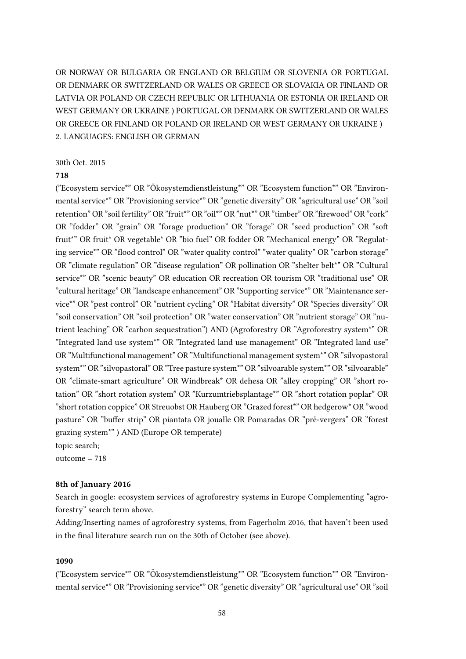OR NORWAY OR BULGARIA OR ENGLAND OR BELGIUM OR SLOVENIA OR PORTUGAL OR DENMARK OR SWITZERLAND OR WALES OR GREECE OR SLOVAKIA OR FINLAND OR LATVIA OR POLAND OR CZECH REPUBLIC OR LITHUANIA OR ESTONIA OR IRELAND OR WEST GERMANY OR UKRAINE ) PORTUGAL OR DENMARK OR SWITZERLAND OR WALES OR GREECE OR FINLAND OR POLAND OR IRELAND OR WEST GERMANY OR UKRAINE ) 2. LANGUAGES: ENGLISH OR GERMAN

#### 30th Oct. 2015

#### 718

("Ecosystem service\*" OR "Okosystemdienstleistung\*" OR "Ecosystem function\*" OR "Environ- ¨ mental service\*" OR "Provisioning service\*" OR "genetic diversity" OR "agricultural use" OR "soil retention" OR "soil fertility" OR "fruit\*" OR "oil\*" OR "nut\*" OR "timber" OR "firewood" OR "cork" OR "fodder" OR "grain" OR "forage production" OR "forage" OR "seed production" OR "so fruit\*" OR fruit\* OR vegetable\* OR "bio fuel" OR fodder OR "Mechanical energy" OR "Regulating service\*" OR "flood control" OR "water quality control" "water quality" OR "carbon storage" OR "climate regulation" OR "disease regulation" OR pollination OR "shelter belt\*" OR "Cultural service\*" OR "scenic beauty" OR education OR recreation OR tourism OR "traditional use" OR "cultural heritage" OR "landscape enhancement" OR "Supporting service\*" OR "Maintenance service\*" OR "pest control" OR "nutrient cycling" OR "Habitat diversity" OR "Species diversity" OR "soil conservation" OR "soil protection" OR "water conservation" OR "nutrient storage" OR "nutrient leaching" OR "carbon sequestration") AND (Agroforestry OR "Agroforestry system\*" OR "Integrated land use system\*" OR "Integrated land use management" OR "Integrated land use" OR "Multifunctional management" OR "Multifunctional management system\*" OR "silvopastoral system\*" OR "silvopastoral" OR "Tree pasture system\*" OR "silvoarable system\*" OR "silvoarable" OR "climate-smart agriculture" OR Windbreak\* OR dehesa OR "alley cropping" OR "short rotation" OR "short rotation system" OR "Kurzumtriebsplantage\*" OR "short rotation poplar" OR "short rotation coppice" OR Streuobst OR Hauberg OR "Grazed forest\*" OR hedgerow\* OR "wood pasture" OR "buffer strip" OR piantata OR joualle OR Pomaradas OR "pré-vergers" OR "forest grazing system\*" ) AND (Europe OR temperate)

topic search;

outcome = 718

#### 8th of January 2016

Search in google: ecosystem services of agroforestry systems in Europe Complementing "agroforestry" search term above.

Adding/Inserting names of agroforestry systems, from Fagerholm 2016, that haven't been used in the final literature search run on the 30th of October (see above).

#### 1090

("Ecosystem service\*" OR "Okosystemdienstleistung\*" OR "Ecosystem function\*" OR "Environ- ¨ mental service\*" OR "Provisioning service\*" OR "genetic diversity" OR "agricultural use" OR "soil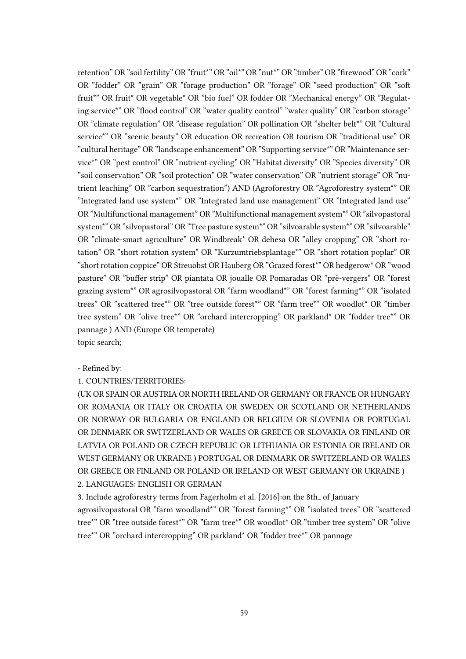retention" OR "soil fertility" OR "fruit\*" OR "oil\*" OR "nut\*" OR "timber" OR "firewood" OR "cork" OR "fodder" OR "grain" OR "forage production" OR "forage" OR "seed production" OR "so fruit\*" OR fruit\* OR vegetable\* OR "bio fuel" OR fodder OR "Mechanical energy" OR "Regulating service\*" OR "flood control" OR "water quality control" "water quality" OR "carbon storage" OR "climate regulation" OR "disease regulation" OR pollination OR "shelter belt\*" OR "Cultural service\*" OR "scenic beauty" OR education OR recreation OR tourism OR "traditional use" OR "cultural heritage" OR "landscape enhancement" OR "Supporting service\*" OR "Maintenance service\*" OR "pest control" OR "nutrient cycling" OR "Habitat diversity" OR "Species diversity" OR "soil conservation" OR "soil protection" OR "water conservation" OR "nutrient storage" OR "nutrient leaching" OR "carbon sequestration") AND (Agroforestry OR "Agroforestry system\*" OR "Integrated land use system\*" OR "Integrated land use management" OR "Integrated land use" OR "Multifunctional management" OR "Multifunctional management system\*" OR "silvopastoral system\*" OR "silvopastoral" OR "Tree pasture system\*" OR "silvoarable system\*" OR "silvoarable" OR "climate-smart agriculture" OR Windbreak\* OR dehesa OR "alley cropping" OR "short rotation" OR "short rotation system" OR "Kurzumtriebsplantage\*" OR "short rotation poplar" OR "short rotation coppice" OR Streuobst OR Hauberg OR "Grazed forest\*" OR hedgerow\* OR "wood pasture" OR "buffer strip" OR piantata OR joualle OR Pomaradas OR "pré-vergers" OR "forest grazing system\*" OR agrosilvopastoral OR "farm woodland\*" OR "forest farming\*" OR "isolated trees" OR "scattered tree\*" OR "tree outside forest\*" OR "farm tree\*" OR woodlot\* OR "timber tree system" OR "olive tree\*" OR "orchard intercropping" OR parkland\* OR "fodder tree\*" OR pannage ) AND (Europe OR temperate) topic search;

# - Refined by:

### 1. COUNTRIES/TERRITORIES:

(UK OR SPAIN OR AUSTRIA OR NORTH IRELAND OR GERMANY OR FRANCE OR HUNGARY OR ROMANIA OR ITALY OR CROATIA OR SWEDEN OR SCOTLAND OR NETHERLANDS OR NORWAY OR BULGARIA OR ENGLAND OR BELGIUM OR SLOVENIA OR PORTUGAL OR DENMARK OR SWITZERLAND OR WALES OR GREECE OR SLOVAKIA OR FINLAND OR LATVIA OR POLAND OR CZECH REPUBLIC OR LITHUANIA OR ESTONIA OR IRELAND OR WEST GERMANY OR UKRAINE ) PORTUGAL OR DENMARK OR SWITZERLAND OR WALES OR GREECE OR FINLAND OR POLAND OR IRELAND OR WEST GERMANY OR UKRAINE ) 2. LANGUAGES: ENGLISH OR GERMAN

3. Include agroforestry terms from [Fagerholm et al.](#page-53-0) [\[2016\]](#page-53-0): on the 8th\_ of January agrosilvopastoral OR "farm woodland\*" OR "forest farming\*" OR "isolated trees" OR "scattered tree\*" OR "tree outside forest\*" OR "farm tree\*" OR woodlot\* OR "timber tree system" OR "olive tree\*" OR "orchard intercropping" OR parkland\* OR "fodder tree\*" OR pannage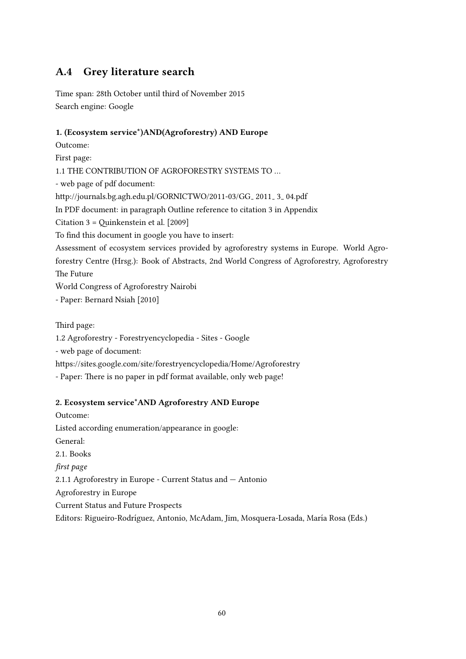# A.4 Grey literature search

Time span: 28th October until third of November 2015 Search engine: Google

## 1. (Ecosystem service\*)AND(Agroforestry) AND Europe

Outcome:

First page:

1.1 THE CONTRIBUTION OF AGROFORESTRY SYSTEMS TO …

- web page of pdf document:

http://journals.bg.agh.edu.pl/GORNICTWO/2011-03/GG\_2011\_3\_04.pdf

In PDF document: in paragraph Outline reference to citation 3 in Appendix

Citation  $3 =$  Quinkenstein et al. [\[2009\]](#page-55-9)

To find this document in google you have to insert:

Assessment of ecosystem services provided by agroforestry systems in Europe. World Agroforestry Centre (Hrsg.): Book of Abstracts, 2nd World Congress of Agroforestry, Agroforestry The Future

World Congress of Agroforestry Nairobi ¯

- Paper: [Bernard Nsiah](#page-52-4) [\[2010\]](#page-52-4)

Third page:

1.2 Agroforestry - Forestryencyclopedia - Sites - Google

- web page of document:

https://sites.google.com/site/forestryencyclopedia/Home/Agroforestry

- Paper: There is no paper in pdf format available, only web page!

### 2. Ecosystem service\*AND Agroforestry AND Europe

Outcome: Listed according enumeration/appearance in google: General: 2.1. Books first page 2.1.1 Agroforestry in Europe - Current Status and — Antonio Agroforestry in Europe Current Status and Future Prospects Editors: Rigueiro-Rodríguez, Antonio, McAdam, Jim, Mosquera-Losada, María Rosa (Eds.)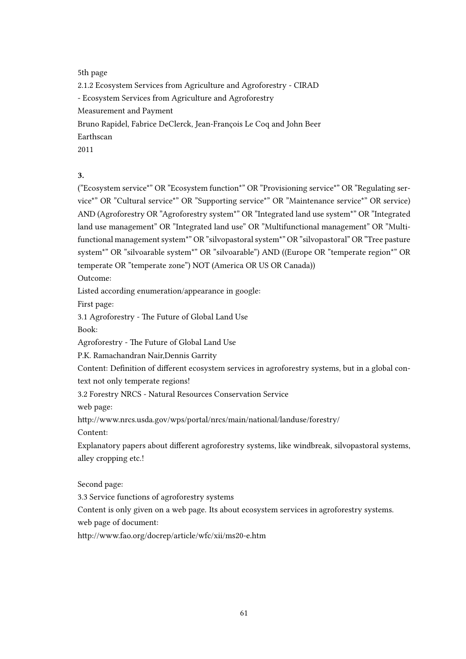5th page

2.1.2 Ecosystem Services from Agriculture and Agroforestry - CIRAD - Ecosystem Services from Agriculture and Agroforestry Measurement and Payment Bruno Rapidel, Fabrice DeClerck, Jean-François Le Coq and John Beer Earthscan 2011

3.

("Ecosystem service\*" OR "Ecosystem function\*" OR "Provisioning service\*" OR "Regulating service\*" OR "Cultural service\*" OR "Supporting service\*" OR "Maintenance service\*" OR service) AND (Agroforestry OR "Agroforestry system\*" OR "Integrated land use system\*" OR "Integrated land use management" OR "Integrated land use" OR "Multifunctional management" OR "Multifunctional management system\*" OR "silvopastoral system\*" OR "silvopastoral" OR "Tree pasture system\*" OR "silvoarable system\*" OR "silvoarable") AND ((Europe OR "temperate region\*" OR temperate OR "temperate zone") NOT (America OR US OR Canada))

Outcome:

Listed according enumeration/appearance in google:

First page:

3.1 Agroforestry - The Future of Global Land Use

Book:

Agroforestry - The Future of Global Land Use

P.K. Ramachandran Nair,Dennis Garrity

Content: Definition of different ecosystem services in agroforestry systems, but in a global context not only temperate regions!

3.2 Forestry NRCS - Natural Resources Conservation Service

web page:

hp://www.nrcs.usda.gov/wps/portal/nrcs/main/national/landuse/forestry/

Content:

Explanatory papers about different agroforestry systems, like windbreak, silvopastoral systems, alley cropping etc.!

Second page:

3.3 Service functions of agroforestry systems

Content is only given on a web page. Its about ecosystem services in agroforestry systems.

web page of document:

http://www.fao.org/docrep/article/wfc/xii/ms20-e.htm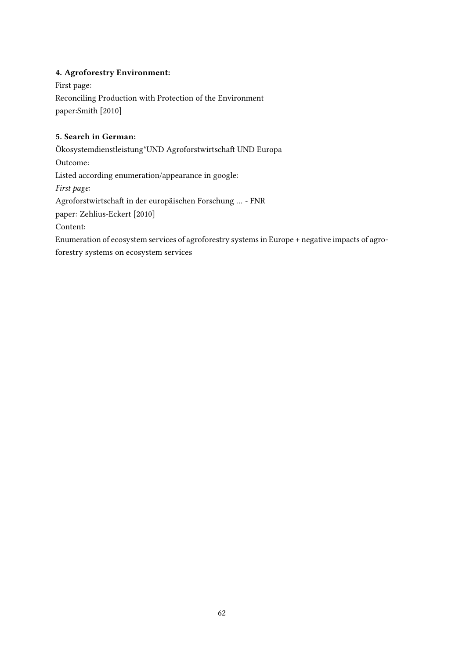## 4. Agroforestry Environment:

First page: Reconciling Production with Protection of the Environment paper[:Smith](#page-56-5) [\[2010\]](#page-56-5)

## 5. Search in German:

 $\mbox{Ökosystemdienstleistung*UND Agroforstwirtschaft UND Europa}$ Outcome: Listed according enumeration/appearance in google: First page: Agroforstwirtschaft in der europäischen Forschung ... - FNR paper: [Zehlius-Eckert](#page-57-2) [\[2010\]](#page-57-2) Content: Enumeration of ecosystem services of agroforestry systems in Europe + negative impacts of agroforestry systems on ecosystem services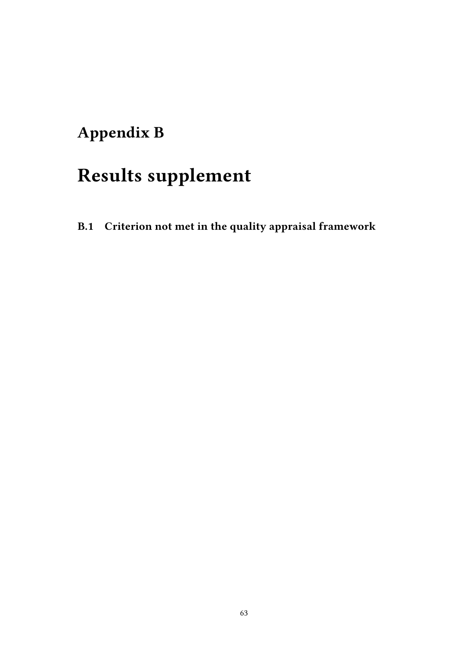# Appendix B

# Results supplement

B.1 Criterion not met in the quality appraisal framework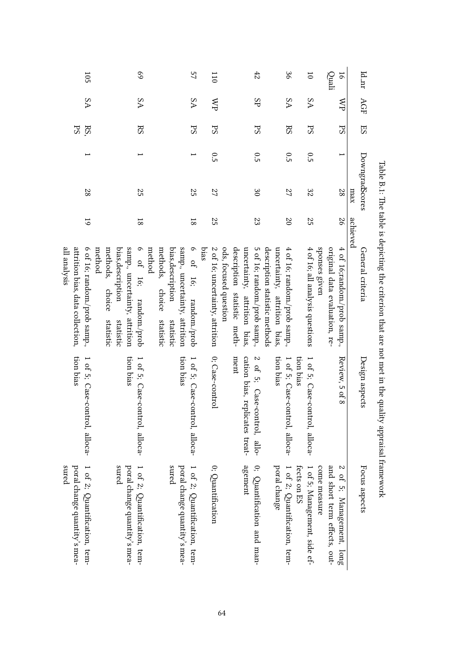| 105                                                                                        | 69                                                                                                                                             | 57                                                                                                                                       | 110                                     | 42                                                                                                                   | 96                                                                                            | $\overline{0}$                                              | Quali<br>16                                                  | Id_nr                 |
|--------------------------------------------------------------------------------------------|------------------------------------------------------------------------------------------------------------------------------------------------|------------------------------------------------------------------------------------------------------------------------------------------|-----------------------------------------|----------------------------------------------------------------------------------------------------------------------|-----------------------------------------------------------------------------------------------|-------------------------------------------------------------|--------------------------------------------------------------|-----------------------|
| δA                                                                                         | δA                                                                                                                                             | ΔA                                                                                                                                       | <b>AN</b>                               | Æ                                                                                                                    | δA                                                                                            | ΔA                                                          | ≲                                                            | AGF                   |
| PS<br>RS                                                                                   | RS                                                                                                                                             | Sd                                                                                                                                       | PS                                      | PS                                                                                                                   | $_{\rm RS}$                                                                                   | SJ                                                          | S <sub>z</sub>                                               | ES                    |
|                                                                                            |                                                                                                                                                |                                                                                                                                          | 0.5                                     | 0.5                                                                                                                  | 0.5                                                                                           | 0.5                                                         |                                                              |                       |
| 87                                                                                         | 25                                                                                                                                             | 25                                                                                                                                       | 27                                      | $\infty$                                                                                                             | 27                                                                                            | 32                                                          | 82                                                           | DowngradScores<br>xem |
| $\overline{6}$                                                                             | $\overline{8}$                                                                                                                                 | $\overline{8}$                                                                                                                           | 25                                      | 23                                                                                                                   | 20                                                                                            | 25                                                          | 97                                                           | achieved              |
| 6 of 16; random./prob samp.,<br>attrition bias, data collection,<br>all analysis<br>method | samp., uncertainty, attrition<br>$\circ$<br>methods, choice<br>bias, description<br>method<br>of 16;<br>random./prob<br>statistic<br>statistic | samp., uncertainty, attrition<br>9 <sup>o</sup><br>methods, choice<br>bias, description<br>16;<br>random./prob<br>statistic<br>statistic | bias<br>2 of 16; uncertainty, attrition | description statistic meth-<br>ods, focused question<br>uncertainty, attrition bias,<br>5 of 16; random./prob samp., | description statistic methods<br>4 of 16; random./prob samp.,<br>uncertainty, attrition bias, | sponses given<br>4 of 16; all analysis questions            | original data evaluation, re-<br>4 of 16;random./prob samp., | General criteria      |
| tion bias<br>1 of 5; Case-control, alloca-                                                 | tion bias<br>1 of 5; Case-control, alloca-                                                                                                     | tion bias<br>1 of 5; Case-control, alloca-                                                                                               | 0; Case-control                         | cation bias, replicates treat-<br>ment<br>$\mathbf{z}$<br>of 5; Case-control, allo-                                  | tion bias<br>1 of 5; Case-con<br>trol, alloca-                                                | tion bias<br>1 of 5; Case-control, alloca-                  | Review, 5 of 8                                               | Design aspects        |
| poral change quantity's mea-<br>1 of 2; Quantification, tem-<br>sured                      | snred<br>poral change quantity's mea-<br>1 of 2; Quantification, tem-                                                                          | sured<br>poral change quantity's mea-<br>1 of 2; Quantification, tem-                                                                    | 0; Quantification                       | agement<br>0; Quantification and man-                                                                                | poral change<br>1 of 2; Quantification, tem-                                                  | come measure<br>fects on ES<br>1 of 5; Management, side ef- | and short term effects, out-<br>of 5; Management, long       | Focus aspects         |